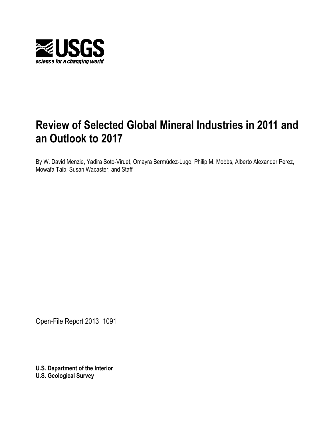

# **Review of Selected Global Mineral Industries in 2011 and an Outlook to 2017**

By W. David Menzie, Yadira Soto-Viruet, Omayra Bermúdez-Lugo, Philip M. Mobbs, Alberto Alexander Perez, Mowafa Taib, Susan Wacaster, and Staff

Open-File Report 2013–1091

**U.S. Department of the Interior U.S. Geological Survey**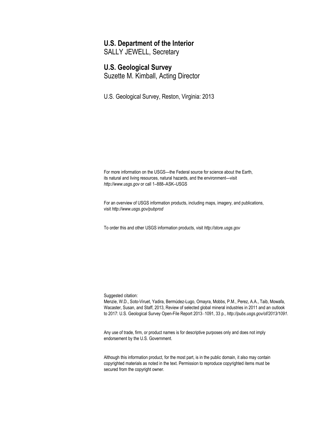## **U.S. Department of the Interior**

SALLY JEWELL, Secretary

## **U.S. Geological Survey**

Suzette M. Kimball, Acting Director

U.S. Geological Survey, Reston, Virginia: 2013

For more information on the USGS—the Federal source for science about the Earth, its natural and living resources, natural hazards, and the environment—visit *[http://www.usgs.gov](http://www.usgs.gov/)* or call 1–888–ASK–USGS

For an overview of USGS information products, including maps, imagery, and publications, visit *<http://www.usgs.gov/pubprod>*

To order this and other USGS information products, visit *[http://store.usgs.gov](http://store.usgs.gov/)*

Suggested citation:

Menzie, W.D., Soto-Viruet, Yadira, Bermúdez-Lugo, Omayra, Mobbs, P.M., Perez, A.A., Taib, Mowafa, Wacaster, Susan, and Staff, 2013, Review of selected global mineral industries in 2011 and an outlook to 2017: U.S. Geological Survey Open-File Report 2013–1091, 33 p., *<http://pubs.usgs.gov/of/2013/1091>*.

Any use of trade, firm, or product names is for descriptive purposes only and does not imply endorsement by the U.S. Government.

Although this information product, for the most part, is in the public domain, it also may contain copyrighted materials as noted in the text. Permission to reproduce copyrighted items must be secured from the copyright owner.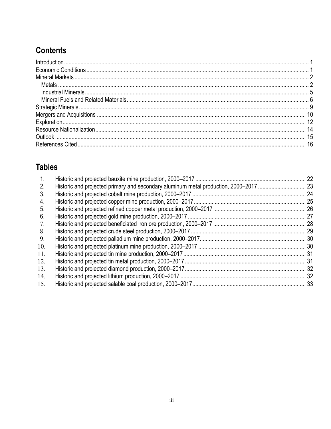# **Contents**

# **Tables**

| 1.  | 22   |
|-----|------|
| 2.  |      |
| 3.  |      |
| 4.  | . 25 |
| 5.  |      |
| 6.  |      |
| 7.  |      |
| 8.  |      |
| 9.  |      |
| 10. |      |
| 11. |      |
| 12. |      |
| 13. |      |
| 14. |      |
| 15. |      |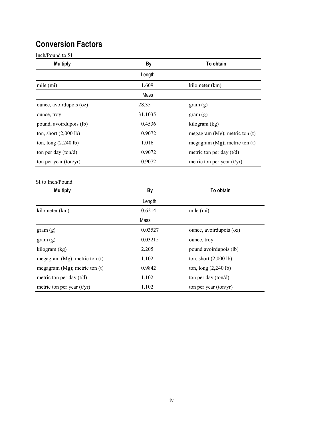# **Conversion Factors**

Inch/Pound to SI

| <b>Multiply</b>                 | By      | To obtain                          |
|---------------------------------|---------|------------------------------------|
|                                 | Length  |                                    |
| mile (mi)                       | 1.609   | kilometer (km)                     |
|                                 | Mass    |                                    |
| ounce, avoirdupois (oz)         | 28.35   | gram(g)                            |
| ounce, troy                     | 31.1035 | gram(g)                            |
| pound, avoirdupois (lb)         | 0.4536  | kilogram (kg)                      |
| ton, short $(2,000 \text{ lb})$ | 0.9072  | megagram $(Mg)$ ; metric ton $(t)$ |
| ton, $\log(2,240 \text{ lb})$   | 1.016   | megagram $(Mg)$ ; metric ton $(t)$ |
| ton per day $(ton/d)$           | 0.9072  | metric ton per day $(t/d)$         |
| ton per year $(ton/yr)$         | 0.9072  | metric ton per year $(t/yr)$       |

#### SI to Inch/Pound

| <b>Multiply</b>                    | By      | <b>To obtain</b>                |
|------------------------------------|---------|---------------------------------|
|                                    | Length  |                                 |
| kilometer (km)                     | 0.6214  | mile $(mi)$                     |
|                                    | Mass    |                                 |
| gram(g)                            | 0.03527 | ounce, avoirdupois (oz)         |
| gram(g)                            | 0.03215 | ounce, troy                     |
| kilogram (kg)                      | 2.205   | pound avoirdupois (lb)          |
| megagram $(Mg)$ ; metric ton $(t)$ | 1.102   | ton, short $(2,000 \text{ lb})$ |
| megagram $(Mg)$ ; metric ton $(t)$ | 0.9842  | ton, $\log(2,240 \text{ lb})$   |
| metric ton per day $(t/d)$         | 1.102   | ton per day $(ton/d)$           |
| metric ton per year $(t/yr)$       | 1.102   | ton per year $(ton/yr)$         |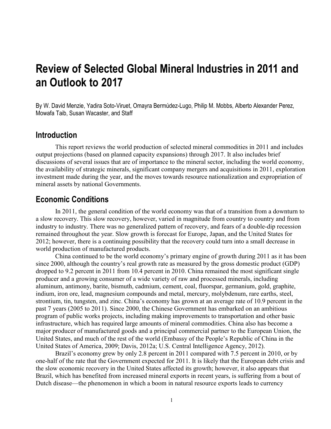# **Review of Selected Global Mineral Industries in 2011 and an Outlook to 2017**

By W. David Menzie, Yadira Soto-Viruet, Omayra Bermúdez-Lugo, Philip M. Mobbs, Alberto Alexander Perez, Mowafa Taib, Susan Wacaster, and Staff

## **Introduction**

This report reviews the world production of selected mineral commodities in 2011 and includes output projections (based on planned capacity expansions) through 2017. It also includes brief discussions of several issues that are of importance to the mineral sector, including the world economy, the availability of strategic minerals, significant company mergers and acquisitions in 2011, exploration investment made during the year, and the moves towards resource nationalization and expropriation of mineral assets by national Governments.

## **Economic Conditions**

In 2011, the general condition of the world economy was that of a transition from a downturn to a slow recovery. This slow recovery, however, varied in magnitude from country to country and from industry to industry. There was no generalized pattern of recovery, and fears of a double-dip recession remained throughout the year. Slow growth is forecast for Europe, Japan, and the United States for 2012; however, there is a continuing possibility that the recovery could turn into a small decrease in world production of manufactured products.

China continued to be the world economy's primary engine of growth during 2011 as it has been since 2000, although the country's real growth rate as measured by the gross domestic product (GDP) dropped to 9.2 percent in 2011 from 10.4 percent in 2010. China remained the most significant single producer and a growing consumer of a wide variety of raw and processed minerals, including aluminum, antimony, barite, bismuth, cadmium, cement, coal, fluorspar, germanium, gold, graphite, indium, iron ore, lead, magnesium compounds and metal, mercury, molybdenum, rare earths, steel, strontium, tin, tungsten, and zinc. China's economy has grown at an average rate of 10.9 percent in the past 7 years (2005 to 2011). Since 2000, the Chinese Government has embarked on an ambitious program of public works projects, including making improvements to transportation and other basic infrastructure, which has required large amounts of mineral commodities. China also has become a major producer of manufactured goods and a principal commercial partner to the European Union, the United States, and much of the rest of the world (Embassy of the People's Republic of China in the United States of America, 2009; Davis, 2012a; U.S. Central Intelligence Agency, 2012).

Brazil's economy grew by only 2.8 percent in 2011 compared with 7.5 percent in 2010, or by one-half of the rate that the Government expected for 2011. It is likely that the European debt crisis and the slow economic recovery in the United States affected its growth; however, it also appears that Brazil, which has benefited from increased mineral exports in recent years, is suffering from a bout of Dutch disease—the phenomenon in which a boom in natural resource exports leads to currency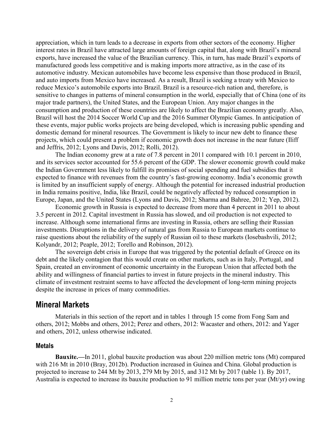appreciation, which in turn leads to a decrease in exports from other sectors of the economy. Higher interest rates in Brazil have attracted large amounts of foreign capital that, along with Brazil's mineral exports, have increased the value of the Brazilian currency. This, in turn, has made Brazil's exports of manufactured goods less competitive and is making imports more attractive, as in the case of its automotive industry. Mexican automobiles have become less expensive than those produced in Brazil, and auto imports from Mexico have increased. As a result, Brazil is seeking a treaty with Mexico to reduce Mexico's automobile exports into Brazil. Brazil is a resource-rich nation and, therefore, is sensitive to changes in patterns of mineral consumption in the world, especially that of China (one of its major trade partners), the United States, and the European Union. Any major changes in the consumption and production of these countries are likely to affect the Brazilian economy greatly. Also, Brazil will host the 2014 Soccer World Cup and the 2016 Summer Olympic Games. In anticipation of these events, major public works projects are being developed, which is increasing public spending and domestic demand for mineral resources. The Government is likely to incur new debt to finance these projects, which could present a problem if economic growth does not increase in the near future (Iliff and Jeffris, 2012; Lyons and Davis, 2012; Rolli, 2012).

The Indian economy grew at a rate of 7.8 percent in 2011 compared with 10.1 percent in 2010, and its services sector accounted for 55.6 percent of the GDP. The slower economic growth could make the Indian Government less likely to fulfill its promises of social spending and fuel subsidies that it expected to finance with revenues from the country's fast-growing economy. India's economic growth is limited by an insufficient supply of energy. Although the potential for increased industrial production in India remains positive, India, like Brazil, could be negatively affected by reduced consumption in Europe, Japan, and the United States (Lyons and Davis, 2012; Sharma and Bahree, 2012; Yep, 2012).

Economic growth in Russia is expected to decrease from more than 4 percent in 2011 to about 3.5 percent in 2012. Capital investment in Russia has slowed, and oil production is not expected to increase. Although some international firms are investing in Russia, others are selling their Russian investments. Disruptions in the delivery of natural gas from Russia to European markets continue to raise questions about the reliability of the supply of Russian oil to these markets (Iosebashvili, 2012; Kolyandr, 2012; Peaple, 2012; Torello and Robinson, 2012).

The sovereign debt crisis in Europe that was triggered by the potential default of Greece on its debt and the likely contagion that this would create on other markets, such as in Italy, Portugal, and Spain, created an environment of economic uncertainty in the European Union that affected both the ability and willingness of financial parties to invest in future projects in the mineral industry. This climate of investment restraint seems to have affected the development of long-term mining projects despite the increase in prices of many commodities.

## **Mineral Markets**

Materials in this section of the report and in tables 1 through 15 come from Fong Sam and others, 2012; Mobbs and others, 2012; Perez and others, 2012: Wacaster and others, 2012: and Yager and others, 2012, unless otherwise indicated.

## **Metals**

**Bauxite.—**In 2011, global bauxite production was about 220 million metric tons (Mt) compared with 216 Mt in 2010 (Bray, 2012b). Production increased in Guinea and China. Global production is projected to increase to 244 Mt by 2013, 279 Mt by 2015, and 312 Mt by 2017 (table 1). By 2017, Australia is expected to increase its bauxite production to 91 million metric tons per year (Mt/yr) owing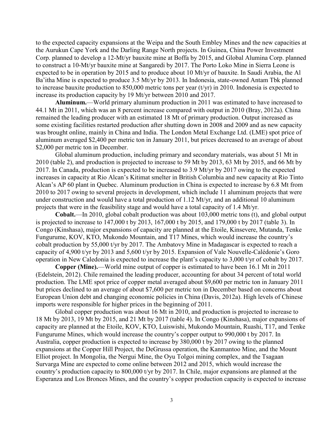to the expected capacity expansions at the Weipa and the South Embley Mines and the new capacities at the Aurukun Cape York and the Darling Range North projects. In Guinea, China Power Investment Corp. planned to develop a 12-Mt/yr bauxite mine at Boffa by 2015, and Global Alumina Corp. planned to construct a 10-Mt/yr bauxite mine at Sangaredi by 2017. The Porto Loko Mine in Sierra Leone is expected to be in operation by 2015 and to produce about 10 Mt/yr of bauxite. In Saudi Arabia, the Al Ba'itha Mine is expected to produce 3.5 Mt/yr by 2013. In Indonesia, state-owned Antam Tbk planned to increase bauxite production to 850,000 metric tons per year (t/yr) in 2010. Indonesia is expected to increase its production capacity by 19 Mt/yr between 2010 and 2017.

**Aluminum.**—World primary aluminum production in 2011 was estimated to have increased to 44.1 Mt in 2011, which was an 8 percent increase compared with output in 2010 (Bray, 2012a). China remained the leading producer with an estimated 18 Mt of primary production. Output increased as some existing facilities restarted production after shutting down in 2008 and 2009 and as new capacity was brought online, mainly in China and India. The London Metal Exchange Ltd. (LME) spot price of aluminum averaged \$2,400 per metric ton in January 2011, but prices decreased to an average of about \$2,000 per metric ton in December.

Global aluminum production, including primary and secondary materials, was about 51 Mt in 2010 (table 2), and production is projected to increase to 59 Mt by 2013, 63 Mt by 2015, and 66 Mt by 2017. In Canada, production is expected to be increased to 3.9 Mt/yr by 2017 owing to the expected increases in capacity at Rio Alcan's Kitimat smelter in British Columbia and new capacity at Rio Tinto Alcan's AP 60 plant in Quebec. Aluminum production in China is expected to increase by 6.8 Mt from 2010 to 2017 owing to several projects in development, which include 11 aluminum projects that were under construction and would have a total production of 1.12 Mt/yr, and an additional 10 aluminum projects that were in the feasibility stage and would have a total capacity of 1.4 Mt/yr.

**Cobalt.**—In 2010, global cobalt production was about 103,000 metric tons (t), and global output is projected to increase to 147,000 t by 2013, 167,000 t by 2015, and 179,000 t by 2017 (table 3). In Congo (Kinshasa), major expansions of capacity are planned at the Etoile, Kinsevere, Mutanda, Tenke Fungurume, KOV, KTO, Mukondo Mountain, and T17 Mines, which would increase the country's cobalt production by 55,000 t/yr by 2017. The Ambatovy Mine in Madagascar is expected to reach a capacity of 4,900 t/yr by 2013 and 5,600 t/yr by 2015. Expansion of Vale Nouvelle-Calédonie's Goro operation in New Caledonia is expected to increase the plant's capacity to 3,000 t/yr of cobalt by 2017.

**Copper (Mine).**—World mine output of copper is estimated to have been 16.1 Mt in 2011 (Edelstein, 2012). Chile remained the leading producer, accounting for about 34 percent of total world production. The LME spot price of copper metal averaged about \$9,600 per metric ton in January 2011 but prices declined to an average of about \$7,600 per metric ton in December based on concerns about European Union debt and changing economic policies in China (Davis, 2012a). High levels of Chinese imports were responsible for higher prices in the beginning of 2011.

Global copper production was about 16 Mt in 2010, and production is projected to increase to 18 Mt by 2013, 19 Mt by 2015, and 21 Mt by 2017 (table 4). In Congo (Kinshasa), major expansions of capacity are planned at the Etoile, KOV, KTO, Luiswishi, Mukondo Mountain, Ruashi, T17, and Tenke Fungurume Mines, which would increase the country's copper output to 990,000 t by 2017. In Australia, copper production is expected to increase by 380,000 t by 2017 owing to the planned expansions at the Copper Hill Project, the DeGrussa operation, the Kanmantoo Mine, and the Mount Elliot project. In Mongolia, the Nergui Mine, the Oyu Tolgoi mining complex, and the Tsagaan Survarga Mine are expected to come online between 2012 and 2015, which would increase the country's production capacity to 800,000 t/yr by 2017. In Chile, major expansions are planned at the Esperanza and Los Bronces Mines, and the country's copper production capacity is expected to increase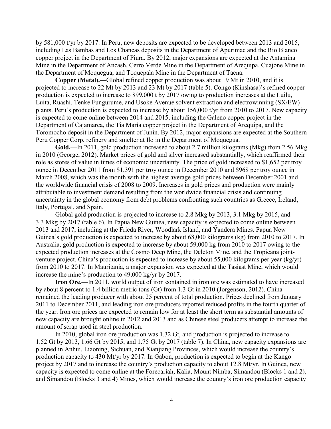by 581,000 t/yr by 2017. In Peru, new deposits are expected to be developed between 2013 and 2015, including Las Bambas and Los Chancas deposits in the Department of Apurimac and the Rio Blanco copper project in the Department of Piura. By 2012, major expansions are expected at the Antamina Mine in the Department of Ancash, Cerro Verde Mine in the Department of Arequipa, Cuajone Mine in the Department of Moquegua, and Toquepala Mine in the Department of Tacna.

**Copper (Metal).**—Global refined copper production was about 19 Mt in 2010, and it is projected to increase to 22 Mt by 2013 and 23 Mt by 2017 (table 5). Congo (Kinshasa)'s refined copper production is expected to increase to 899,000 t by 2017 owing to production increases at the Luilu, Luita, Ruashi, Tenke Fungurume, and Usoke Avenue solvent extraction and electrowinning (SX/EW) plants. Peru's production is expected to increase by about 156,000 t/yr from 2010 to 2017. New capacity is expected to come online between 2014 and 2015, including the Galeno copper project in the Department of Cajamarca, the Tia María copper project in the Department of Arequipa, and the Toromocho deposit in the Department of Junin. By 2012, major expansions are expected at the Southern Peru Copper Corp. refinery and smelter at Ilo in the Department of Moquegua.

**Gold.**—In 2011, gold production increased to about 2.7 million kilograms (Mkg) from 2.56 Mkg in 2010 (George, 2012). Market prices of gold and silver increased substantially, which reaffirmed their role as stores of value in times of economic uncertainty. The price of gold increased to \$1,652 per troy ounce in December 2011 from \$1,391 per troy ounce in December 2010 and \$968 per troy ounce in March 2008, which was the month with the highest average gold prices between December 2001 and the worldwide financial crisis of 2008 to 2009. Increases in gold prices and production were mainly attributable to investment demand resulting from the worldwide financial crisis and continuing uncertainty in the global economy from debt problems confronting such countries as Greece, Ireland, Italy, Portugal, and Spain.

Global gold production is projected to increase to 2.8 Mkg by 2013, 3.1 Mkg by 2015, and 3.3 Mkg by 2017 (table 6). In Papua New Guinea, new capacity is expected to come online between 2013 and 2017, including at the Frieda River, Woodlark Island, and Yandera Mines. Papua New Guinea's gold production is expected to increase by about 68,000 kilograms (kg) from 2010 to 2017. In Australia, gold production is expected to increase by about 59,000 kg from 2010 to 2017 owing to the expected production increases at the Cosmo Deep Mine, the Deleton Mine, and the Tropicana jointventure project. China's production is expected to increase by about 55,000 kilograms per year (kg/yr) from 2010 to 2017. In Mauritania, a major expansion was expected at the Tasiast Mine, which would increase the mine's production to 49,000 kg/yr by 2017.

**Iron Ore.**—In 2011, world output of iron contained in iron ore was estimated to have increased by about 8 percent to 1.4 billion metric tons (Gt) from 1.3 Gt in 2010 (Jorgenson, 2012). China remained the leading producer with about 25 percent of total production. Prices declined from January 2011 to December 2011, and leading iron ore producers reported reduced profits in the fourth quarter of the year. Iron ore prices are expected to remain low for at least the short term as substantial amounts of new capacity are brought online in 2012 and 2013 and as Chinese steel producers attempt to increase the amount of scrap used in steel production.

In 2010, global iron ore production was 1.32 Gt, and production is projected to increase to 1.52 Gt by 2013, 1.66 Gt by 2015, and 1.75 Gt by 2017 (table 7). In China, new capacity expansions are planned in Anhui, Liaoning, Sichuan, and Xianjiang Provinces, which would increase the country's production capacity to 430 Mt/yr by 2017. In Gabon, production is expected to begin at the Kango project by 2017 and to increase the country's production capacity to about 12.8 Mt/yr. In Guinea, new capacity is expected to come online at the Forecariah, Kalia, Mount Nimba, Simandou (Blocks 1 and 2), and Simandou (Blocks 3 and 4) Mines, which would increase the country's iron ore production capacity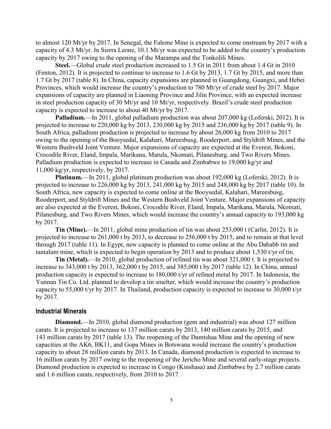to almost 120 Mt/yr by 2017. In Senegal, the Faleme Mine is expected to come onstream by 2017 with a capacity of 4.3 Mt/yr. In Sierra Leone, 10.1 Mt/yr was expected to be added to the country's production capacity by 2017 owing to the opening of the Marampa and the Tonkolili Mines.

**Steel.**—Global crude steel production increased to 1.5 Gt in 2011 from about 1.4 Gt in 2010 (Fenton, 2012). It is projected to continue to increase to 1.6 Gt by 2013, 1.7 Gt by 2015, and more than 1.7 Gt by 2017 (table 8). In China, capacity expansions are planned in Guangdong, Guangxi, and Hebei Provinces, which would increase the country's production to 780 Mt/yr of crude steel by 2017. Major expansions of capacity are planned in Liaoning Province and Jilin Province, with an expected increase in steel production capacity of 30 Mt/yr and 10 Mt/yr, respectively. Brazil's crude steel production capacity is expected to increase to about 40 Mt/yr by 2017.

**Palladium.**—In 2011, global palladium production was about 207,000 kg (Loferski, 2012). It is projected to increase to 220,000 kg by 2013, 230,000 kg by 2015 and 236,000 kg by 2017 (table 9). In South Africa, palladium production is projected to increase by about 26,000 kg from 2010 to 2017 owing to the opening of the Booysedal, Kalahari, Mareesbusg, Rooderport, and Styldrift Mines, and the Western Bushveld Joint Venture. Major expansions of capacity are expected at the Everest, Bokoni, Crocodile River, Eland, Impala, Marikana, Marula, Nkomati, Pilanesburg, and Two Rivers Mines. Palladium production is expected to increase in Canada and Zimbabwe to 19,000 kg/yr and 11,000 kg/yr, respectively, by 2017.

**Platinum.**—In 2011, global platinum production was about 192,000 kg (Loferski, 2012). It is projected to increase to 226,000 kg by 2013, 241,000 kg by 2015 and 248,000 kg by 2017 (table 10). In South Africa, new capacity is expected to come online at the Booysedal, Kalahari, Mareesbusg, Rooderport, and Styldrift Mines and the Western Bushveld Joint Venture. Major expansions of capacity are also expected at the Everest, Bokoni, Crocodile River, Eland, Impala, Marikana, Marula, Nkomati, Pilanesburg, and Two Rivers Mines, which would increase the country's annual capacity to 193,000 kg by 2017.

**Tin (Mine).**—In 2011, global mine production of tin was about 253,000 t (Carlin, 2012). It is projected to increase to 261,000 t by 2013, to decrease to 256,000 t by 2015, and to remain at that level through 2017 (table 11). In Egypt, new capacity is planned to come online at the Abu Dababb tin and tantalum mine, which is expected to begin operation by 2013 and to produce about 1,530 t/yr of tin.

**Tin (Metal).**—In 2010, global production of refined tin was about 321,000 t. It is projected to increase to 343,000 t by 2013, 362,000 t by 2015, and 385,000 t by 2017 (table 12). In China, annual production capacity is expected to increase to 180,000 t/yr of refined metal by 2017. In Indonesia, the Yunnan Tin Co. Ltd. planned to develop a tin smelter, which would increase the country's production capacity to 55,000 t/yr by 2017. In Thailand, production capacity is expected to increase to 30,000 t/yr by 2017.

## **Industrial Minerals**

**Diamond.**—In 2010, global diamond production (gem and industrial) was about 127 million carats. It is projected to increase to 137 million carats by 2013, 140 million carats by 2015, and 143 million carats by 2017 (table 13). The reopening of the Damtshaa Mine and the opening of new capacities at the AK6, BK11, and Gopa Mines in Botswana would increase the country's production capacity to about 28 million carats by 2013. In Canada, diamond production is expected to increase to 16 million carats by 2017 owing to the reopening of the Jericho Mine and several early-stage projects. Diamond production is expected to increase in Congo (Kinshasa) and Zimbabwe by 2.7 million carats and 1.6 million carats, respectively, from 2010 to 2017.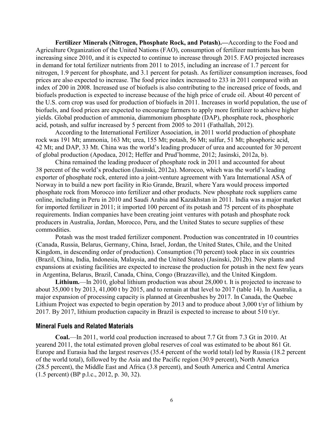**Fertilizer Minerals (Nitrogen, Phosphate Rock, and Potash).—**According to the Food and Agriculture Organization of the United Nations (FAO), consumption of fertilizer nutrients has been increasing since 2010, and it is expected to continue to increase through 2015. FAO projected increases in demand for total fertilizer nutrients from 2011 to 2015, including an increase of 1.7 percent for nitrogen, 1.9 percent for phosphate, and 3.1 percent for potash. As fertilizer consumption increases, food prices are also expected to increase. The food price index increased to 233 in 2011 compared with an index of 200 in 2008. Increased use of biofuels is also contributing to the increased price of foods, and biofuels production is expected to increase because of the high price of crude oil. About 40 percent of the U.S. corn crop was used for production of biofuels in 2011. Increases in world population, the use of biofuels, and food prices are expected to encourage farmers to apply more fertilizer to achieve higher yields. Global production of ammonia, diammonium phosphate (DAP), phosphate rock, phosphoric acid, potash, and sulfur increased by 5 percent from 2005 to 2011 (Fathallah, 2012).

According to the International Fertilizer Association, in 2011 world production of phosphate rock was 191 Mt; ammonia, 163 Mt; urea, 155 Mt; potash, 56 Mt; sulfur, 51 Mt; phosphoric acid, 42 Mt; and DAP, 33 Mt. China was the world's leading producer of urea and accounted for 30 percent of global production (Apodaca, 2012; Heffer and Prud'homme, 2012; Jasinski, 2012a, b).

China remained the leading producer of phosphate rock in 2011 and accounted for about 38 percent of the world's production (Jasinski, 2012a). Morocco, which was the world's leading exporter of phosphate rock, entered into a joint-venture agreement with Yara International ASA of Norway in to build a new port facility in Rio Grande, Brazil, where Yara would process imported phosphate rock from Morocco into fertilizer and other products. New phosphate rock suppliers came online, including in Peru in 2010 and Saudi Arabia and Kazakhstan in 2011. India was a major market for imported fertilizer in 2011; it imported 100 percent of its potash and 75 percent of its phosphate requirements. Indian companies have been creating joint ventures with potash and phosphate rock producers in Australia, Jordan, Morocco, Peru, and the United States to secure supplies of these commodities.

Potash was the most traded fertilizer component. Production was concentrated in 10 countries (Canada, Russia, Belarus, Germany, China, Israel, Jordan, the United States, Chile, and the United Kingdom, in descending order of production). Consumption (70 percent) took place in six countries (Brazil, China, India, Indonesia, Malaysia, and the United States) (Jasinski, 2012b). New plants and expansions at existing facilities are expected to increase the production for potash in the next few years in Argentina, Belarus, Brazil, Canada, China, Congo (Brazzaville), and the United Kingdom.

**Lithium.**—In 2010, global lithium production was about 28,000 t. It is projected to increase to about 35,000 t by 2013, 41,000 t by 2015, and to remain at that level to 2017 (table 14). In Australia, a major expansion of processing capacity is planned at Greenbushes by 2017. In Canada, the Quebec Lithium Project was expected to begin operation by 2013 and to produce about 3,000 t/yr of lithium by 2017. By 2017, lithium production capacity in Brazil is expected to increase to about 510 t/yr.

### **Mineral Fuels and Related Materials**

**Coal.**—In 2011, world coal production increased to about 7.7 Gt from 7.3 Gt in 2010. At yearend 2011, the total estimated proven global reserves of coal was estimated to be about 861 Gt. Europe and Eurasia had the largest reserves (35.4 percent of the world total) led by Russia (18.2 percent of the world total), followed by the Asia and the Pacific region (30.9 percent), North America (28.5 percent), the Middle East and Africa (3.8 percent), and South America and Central America (1.5 percent) (BP p.l.c., 2012, p. 30, 32).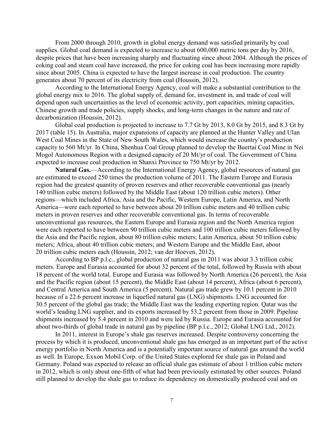From 2000 through 2010, growth in global energy demand was satisfied primarily by coal supplies. Global coal demand is expected to increase to about 600,000 metric tons per day by 2016, despite prices that have been increasing sharply and fluctuating since about 2004. Although the prices of coking coal and steam coal have increased, the price for coking coal has been increasing more rapidly since about 2005. China is expected to have the largest increase in coal production. The country generates about 70 percent of its electricity from coal (Houssin, 2012).

According to the International Energy Agency, coal will make a substantial contribution to the global energy mix to 2016. The global supply of, demand for, investment in, and trade of coal will depend upon such uncertainties as the level of economic activity, port capacities, mining capacities, Chinese growth and trade policies, supply shocks, and long-term changes in the nature and rate of decarbonization (Houssin, 2012).

Global coal production is projected to increase to 7.7 Gt by 2013, 8.0 Gt by 2015, and 8.3 Gt by 2017 (table 15). In Australia, major expansions of capacity are planned at the Hunter Valley and Ulan West Coal Mines in the State of New South Wales, which would increase the country's production capacity to 560 Mt/yr. In China, Shenhua Coal Group planned to develop the Buertai Coal Mine in Nei Mogol Autonomous Region with a designed capacity of 20 Mt/yr of coal. The Government of China expected to increase coal production in Shanxi Province to 750 Mt/yr by 2012.

**Natural Gas.**—According to the International Energy Agency, global resources of natural gas are estimated to exceed 250 times the production volume of 2011. The Eastern Europe and Eurasia region had the greatest quantity of proven reserves and other recoverable conventional gas (nearly 140 trillion cubic meters) followed by the Middle East (about 120 trillion cubic meters). Other regions—which included Africa, Asia and the Pacific, Western Europe, Latin America, and North America—were each reported to have between about 20 trillion cubic meters and 40 trillion cubic meters in proven reserves and other recoverable conventional gas. In terms of recoverable unconventional gas resources, the Eastern Europe and Eurasia region and the North America region were each reported to have between 90 trillion cubic meters and 100 trillion cubic meters followed by the Asia and the Pacific region, about 80 trillion cubic meters; Latin America, about 50 trillion cubic meters; Africa, about 40 trillion cubic meters; and Western Europe and the Middle East, about 20 trillion cubic meters each (Houssin, 2012; van der Hoeven, 2012).

According to BP p.l.c., global production of natural gas in 2011 was about 3.3 trillion cubic meters. Europe and Eurasia accounted for about 32 percent of the total, followed by Russia with about 18 percent of the world total. Europe and Eurasia was followed by North America (26 percent), the Asia and the Pacific region (about 15 percent), the Middle East (about 14 percent), Africa (about 6 percent), and Central America and South America (5 percent). Natural gas trade grew by 10.1 percent in 2010 because of a 22.6 percent increase in liquefied natural gas (LNG) shipments. LNG accounted for 30.5 percent of the global gas trade; the Middle East was the leading exporting region. Qatar was the world's leading LNG supplier, and its exports increased by 53.2 percent from those in 2009. Pipeline shipments increased by 5.4 percent in 2010 and were led by Russia. Europe and Eurasia accounted for about two-thirds of global trade in natural gas by pipeline (BP p.l.c., 2012; Global LNG Ltd., 2012).

In 2011, interest in Europe's shale gas reserves increased. Despite controversy concerning the process by which it is produced, unconventional shale gas has emerged as an important part of the active energy portfolio in North America and is a potentially important source of natural gas around the world as well. In Europe, Exxon Mobil Corp. of the United States explored for shale gas in Poland and Germany. Poland was expected to release an official shale gas estimate of about 1 trillion cubic meters in 2012, which is only about one-fifth of what had been previously estimated by other sources. Poland still planned to develop the shale gas to reduce its dependency on domestically produced coal and on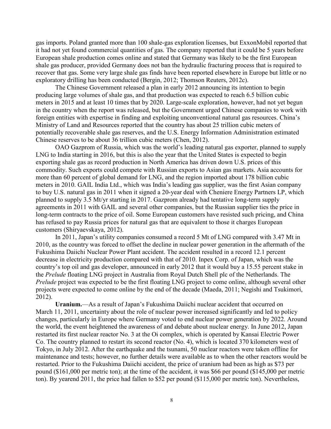gas imports. Poland granted more than 100 shale-gas exploration licenses, but ExxonMobil reported that it had not yet found commercial quantities of gas. The company reported that it could be 5 years before European shale production comes online and stated that Germany was likely to be the first European shale gas producer, provided Germany does not ban the hydraulic fracturing process that is required to recover that gas. Some very large shale gas finds have been reported elsewhere in Europe but little or no exploratory drilling has been conducted (Bergin, 2012; Thomson Reuters, 2012c).

The Chinese Government released a plan in early 2012 announcing its intention to begin producing large volumes of shale gas, and that production was expected to reach 6.5 billion cubic meters in 2015 and at least 10 times that by 2020. Large-scale exploration, however, had not yet begun in the country when the report was released, but the Government urged Chinese companies to work with foreign entities with expertise in finding and exploiting unconventional natural gas resources. China's Ministry of Land and Resources reported that the country has about 25 trillion cubic meters of potentially recoverable shale gas reserves, and the U.S. Energy Information Administration estimated Chinese reserves to be about 36 trillion cubic meters (Chen, 2012).

OAO Gazprom of Russia, which was the world's leading natural gas exporter, planned to supply LNG to India starting in 2016, but this is also the year that the United States is expected to begin exporting shale gas as record production in North America has driven down U.S. prices of this commodity. Such exports could compete with Russian exports to Asian gas markets. Asia accounts for more than 60 percent of global demand for LNG, and the region imported about 178 billion cubic meters in 2010. GAIL India Ltd., which was India's leading gas supplier, was the first Asian company to buy U.S. natural gas in 2011 when it signed a 20-year deal with Cheniere Energy Partners LP, which planned to supply 3.5 Mt/yr starting in 2017. Gazprom already had tentative long-term supply agreements in 2011 with GAIL and several other companies, but the Russian supplier ties the price in long-term contracts to the price of oil. Some European customers have resisted such pricing, and China has refused to pay Russia prices for natural gas that are equivalent to those it charges European customers (Shiryaevskaya, 2012).

In 2011, Japan's utility companies consumed a record 5 Mt of LNG compared with 3.47 Mt in 2010, as the country was forced to offset the decline in nuclear power generation in the aftermath of the Fukushima Daiichi Nuclear Power Plant accident. The accident resulted in a record 12.1 percent decrease in electricity production compared with that of 2010. Inpex Corp. of Japan, which was the country's top oil and gas developer, announced in early 2012 that it would buy a 15.55 percent stake in the *Prelude* floating LNG project in Australia from Royal Dutch Shell plc of the Netherlands. The *Prelude* project was expected to be the first floating LNG project to come online, although several other projects were expected to come online by the end of the decade (Maeda, 2011; Negishi and Tsukimori, 2012).

**Uranium.**—As a result of Japan's Fukushima Daiichi nuclear accident that occurred on March 11, 2011, uncertainty about the role of nuclear power increased significantly and led to policy changes, particularly in Europe where Germany voted to end nuclear power generation by 2022. Around the world, the event heightened the awareness of and debate about nuclear energy. In June 2012, Japan restarted its first nuclear reactor No. 3 at the Oi complex, which is operated by Kansai Electric Power Co. The country planned to restart its second reactor (No. 4), which is located 370 kilometers west of Tokyo, in July 2012. After the earthquake and the tsunami, 50 nuclear reactors were taken offline for maintenance and tests; however, no further details were available as to when the other reactors would be restarted. Prior to the Fukushima Daiichi accident, the price of uranium had been as high as \$73 per pound (\$161,000 per metric ton); at the time of the accident, it was \$66 per pound (\$145,000 per metric ton). By yearend 2011, the price had fallen to \$52 per pound (\$115,000 per metric ton). Nevertheless,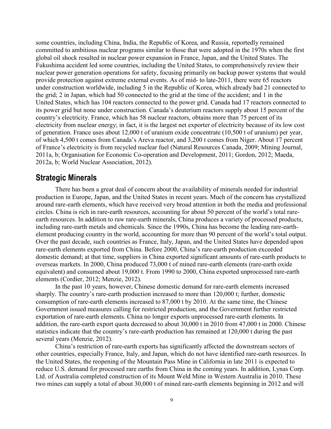some countries, including China, India, the Republic of Korea, and Russia, reportedly remained committed to ambitious nuclear programs similar to those that were adopted in the 1970s when the first global oil shock resulted in nuclear power expansion in France, Japan, and the United States. The Fukushima accident led some countries, including the United States, to comprehensively review their nuclear power generation operations for safety, focusing primarily on backup power systems that would provide protection against extreme external events. As of mid- to late-2011, there were 65 reactors under construction worldwide, including 5 in the Republic of Korea, which already had 21 connected to the grid; 2 in Japan, which had 50 connected to the grid at the time of the accident; and 1 in the United States, which has 104 reactors connected to the power grid. Canada had 17 reactors connected to its power grid but none under construction. Canada's deuterium reactors supply about 15 percent of the country's electricity. France, which has 58 nuclear reactors, obtains more than 75 percent of its electricity from nuclear energy; in fact, it is the largest net exporter of electricity because of its low cost of generation. France uses about 12,000 t of uranium oxide concentrate (10,500 t of uranium) per year, of which 4,500 t comes from Canada's Areva reactor, and 3,200 t comes from Niger. About 17 percent of France's electricity is from recycled nuclear fuel (Natural Resources Canada, 2009; Mining Journal, 2011a, b; Organisation for Economic Co-operation and Development, 2011; Gordon, 2012; Maeda, 2012a, b; World Nuclear Association, 2012).

## **Strategic Minerals**

There has been a great deal of concern about the availability of minerals needed for industrial production in Europe, Japan, and the United States in recent years. Much of the concern has crystallized around rare-earth elements, which have received very broad attention in both the media and professional circles. China is rich in rare-earth resources, accounting for about 50 percent of the world's total rareearth resources. In addition to raw rare-earth minerals, China produces a variety of processed products, including rare-earth metals and chemicals. Since the 1990s, China has become the leading rare-earthelement producing country in the world, accounting for more than 90 percent of the world's total output. Over the past decade, such countries as France, Italy, Japan, and the United States have depended upon rare-earth elements exported from China. Before 2000, China's rare-earth production exceeded domestic demand; at that time, suppliers in China exported significant amounts of rare-earth products to overseas markets. In 2000, China produced 73,000 t of mined rare-earth elements (rare-earth oxide equivalent) and consumed about 19,000 t. From 1990 to 2000, China exported unprocessed rare-earth elements (Cordier, 2012; Menzie, 2012).

In the past 10 years, however, Chinese domestic demand for rare-earth elements increased sharply. The country's rare-earth production increased to more than 120,000 t; further, domestic consumption of rare-earth elements increased to 87,000 t by 2010. At the same time, the Chinese Government issued measures calling for restricted production, and the Government further restricted exportation of rare-earth elements. China no longer exports unprocessed rare-earth elements. In addition, the rare-earth export quota decreased to about 30,000 t in 2010 from 47,000 t in 2000. Chinese statistics indicate that the country's rare-earth production has remained at 120,000 t during the past several years (Menzie, 2012).

China's restriction of rare-earth exports has significantly affected the downstream sectors of other countries, especially France, Italy, and Japan, which do not have identified rare-earth resources. In the United States, the reopening of the Mountain Pass Mine in California in late 2011 is expected to reduce U.S. demand for processed rare earths from China in the coming years. In addition, Lynas Corp. Ltd. of Australia completed construction of its Mount Weld Mine in Western Australia in 2010. These two mines can supply a total of about 30,000 t of mined rare-earth elements beginning in 2012 and will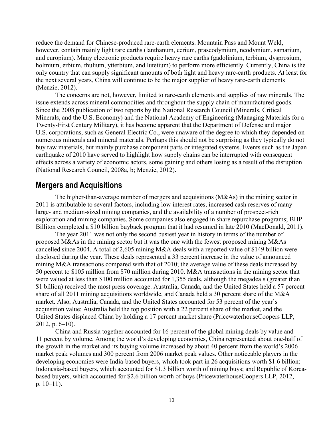reduce the demand for Chinese-produced rare-earth elements. Mountain Pass and Mount Weld, however, contain mainly light rare earths (lanthanum, cerium, praseodymium, neodymium, samarium, and europium). Many electronic products require heavy rare earths (gadolinium, terbium, dysprosium, holmium, erbium, thulium, ytterbium, and lutetium) to perform more efficiently. Currently, China is the only country that can supply significant amounts of both light and heavy rare-earth products. At least for the next several years, China will continue to be the major supplier of heavy rare-earth elements (Menzie, 2012).

The concerns are not, however, limited to rare-earth elements and supplies of raw minerals. The issue extends across mineral commodities and throughout the supply chain of manufactured goods. Since the 2008 publication of two reports by the National Research Council (Minerals, Critical Minerals, and the U.S. Economy) and the National Academy of Engineering (Managing Materials for a Twenty-First Century Military), it has become apparent that the Department of Defense and major U.S. corporations, such as General Electric Co., were unaware of the degree to which they depended on numerous minerals and mineral materials. Perhaps this should not be surprising as they typically do not buy raw materials, but mainly purchase component parts or integrated systems. Events such as the Japan earthquake of 2010 have served to highlight how supply chains can be interrupted with consequent effects across a variety of economic actors, some gaining and others losing as a result of the disruption (National Research Council, 2008a, b; Menzie, 2012).

## **Mergers and Acquisitions**

The higher-than-average number of mergers and acquisitions (M&As) in the mining sector in 2011 is attributable to several factors, including low interest rates, increased cash reserves of many large- and medium-sized mining companies, and the availability of a number of prospect-rich exploration and mining companies. Some companies also engaged in share repurchase programs; BHP Billiton completed a \$10 billion buyback program that it had resumed in late 2010 (MacDonald, 2011).

The year 2011 was not only the second busiest year in history in terms of the number of proposed M&As in the mining sector but it was the one with the fewest proposed mining M&As cancelled since 2004. A total of 2,605 mining M&A deals with a reported value of \$149 billion were disclosed during the year. These deals represented a 33 percent increase in the value of announced mining M&A transactions compared with that of 2010; the average value of these deals increased by 50 percent to \$105 million from \$70 million during 2010. M&A transactions in the mining sector that were valued at less than \$100 million accounted for 1,355 deals, although the megadeals (greater than \$1 billion) received the most press coverage. Australia, Canada, and the United States held a 57 percent share of all 2011 mining acquisitions worldwide, and Canada held a 30 percent share of the M&A market. Also, Australia, Canada, and the United States accounted for 53 percent of the year's acquisition value; Australia held the top position with a 22 percent share of the market, and the United States displaced China by holding a 17 percent market share (PricewaterhouseCoopers LLP, 2012, p. 6–10).

China and Russia together accounted for 16 percent of the global mining deals by value and 11 percent by volume. Among the world's developing economies, China represented about one-half of the growth in the market and its buying volume increased by about 40 percent from the world's 2006 market peak volumes and 300 percent from 2006 market peak values. Other noticeable players in the developing economies were India-based buyers, which took part in 26 acquisitions worth \$1.6 billion; Indonesia-based buyers, which accounted for \$1.3 billion worth of mining buys; and Republic of Koreabased buyers, which accounted for \$2.6 billion worth of buys (PricewaterhouseCoopers LLP, 2012, p. 10–11).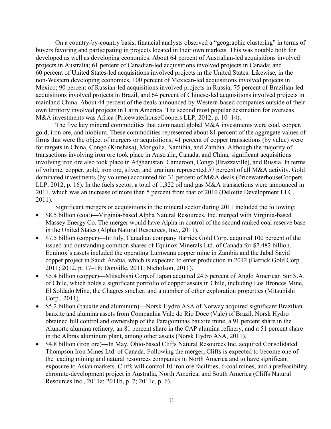On a country-by-country basis, financial analysts observed a "geographic clustering" in terms of buyers favoring and participating in projects located in their own markets. This was notable both for developed as well as developing economies. About 64 percent of Australian-led acquisitions involved projects in Australia; 61 percent of Canadian-led acquisitions involved projects in Canada; and 60 percent of United States-led acquisitions involved projects in the United States. Likewise, in the non-Western developing economies, 100 percent of Mexican-led acquisitions involved projects in Mexico; 90 percent of Russian-led acquisitions involved projects in Russia; 75 percent of Brazilian-led acquisitions involved projects in Brazil, and 64 percent of Chinese-led acquisitions involved projects in mainland China. About 44 percent of the deals announced by Western-based companies outside of their own territory involved projects in Latin America. The second most popular destination for overseas M&A investments was Africa (PricewaterhouseCoopers LLP, 2012, p. 10–14).

The five key mineral commodities that dominated global M&A investments were coal, copper, gold, iron ore, and niobium. These commodities represented about 81 percent of the aggregate values of firms that were the object of mergers or acquisitions; 41 percent of copper transactions (by value) were for targets in China, Congo (Kinshasa), Mongolia, Namibia, and Zambia. Although the majority of transactions involving iron ore took place in Australia, Canada, and China, significant acquisitions involving iron ore also took place in Afghanistan, Cameroon, Congo (Brazzaville), and Russia. In terms of volume, copper, gold, iron ore, silver, and uranium represented 57 percent of all M&A activity. Gold dominated investments (by volume) accounted for 31 percent of M&A deals (PricewaterhouseCoopers LLP, 2012, p. 16). In the fuels sector, a total of 1,322 oil and gas M&A transactions were announced in 2011, which was an increase of more than 5 percent from that of 2010 (Deloitte Development LLC, 2011).

Significant mergers or acquisitions in the mineral sector during 2011 included the following:

- \$8.5 billion (coal)—Virginia-based Alpha Natural Resources, Inc. merged with Virginia-based Massey Energy Co. The merger would have Alpha in control of the second ranked coal reserve base in the United States (Alpha Natural Resources, Inc., 2011).
- \$7.5 billion (copper)—In July, Canadian company Barrick Gold Corp. acquired 100 percent of the issued and outstanding common shares of Equinox Minerals Ltd. of Canada for \$7.482 billion. Equinox's assets included the operating Lumwana copper mine in Zambia and the Jabal Sayid copper project in Saudi Arabia, which is expected to enter production in 2012 (Barrick Gold Corp., 2011; 2012, p. 17–18; Donville, 2011; Nicholson, 2011).
- \$5.4 billion (copper)—Mitsubishi Corp. of Japan acquired 24.5 percent of Anglo American Sur S.A. of Chile, which holds a significant portfolio of copper assets in Chile, including Los Bronces Mine, El Soldado Mine, the Chagres smelter, and a number of other exploration properties (Mitsubishi Corp., 2011).
- \$5.2 billion (bauxite and aluminum)—Norsk Hydro ASA of Norway acquired significant Brazilian bauxite and alumina assets from Companhia Vale do Rio Doce (Vale) of Brazil. Norsk Hydro obtained full control and ownership of the Paragominas bauxite mine, a 91 percent share in the Alunorte alumina refinery, an 81 percent share in the CAP alumina refinery, and a 51 percent share in the Albras aluminum plant, among other assets (Norsk Hydro ASA, 2011).
- \$4.8 billion (iron ore)—In May, Ohio-based Cliffs Natural Resources Inc. acquired Consolidated Thompson Iron Mines Ltd. of Canada. Following the merger, Cliffs is expected to become one of the leading mining and natural resources companies in North America and to have significant exposure to Asian markets. Cliffs will control 10 iron ore facilities, 6 coal mines, and a prefeasibility chromite-development project in Australia, North America, and South America (Cliffs Natural Resources Inc., 2011a; 2011b, p. 7; 2011c, p. 6).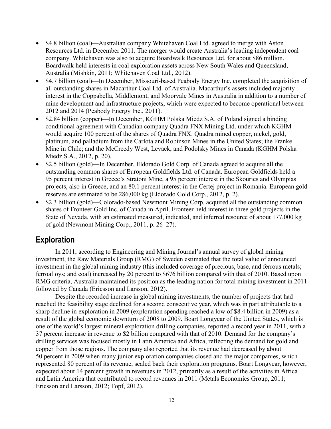- \$4.8 billion (coal)—Australian company Whitehaven Coal Ltd. agreed to merge with Aston Resources Ltd. in December 2011. The merger would create Australia's leading independent coal company. Whitehaven was also to acquire Boardwalk Resources Ltd. for about \$86 million. Boardwalk held interests in coal exploration assets across New South Wales and Queensland, Australia (Mishkin, 2011; Whitehaven Coal Ltd., 2012).
- \$4.7 billion (coal)—In December, Missouri-based Peabody Energy Inc. completed the acquisition of all outstanding shares in Macarthur Coal Ltd. of Australia. Macarthur's assets included majority interest in the Coppabella, Middlemont, and Moorvale Mines in Australia in addition to a number of mine development and infrastructure projects, which were expected to become operational between 2012 and 2014 (Peabody Energy Inc., 2011).
- \$2.84 billion (copper)—In December, KGHM Polska Miedz S.A. of Poland signed a binding conditional agreement with Canadian company Quadra FNX Mining Ltd. under which KGHM would acquire 100 percent of the shares of Quadra FNX. Quadra mined copper, nickel, gold, platinum, and palladium from the Carlota and Robinson Mines in the United States; the Franke Mine in Chile; and the McCreedy West, Levack, and Podolsky Mines in Canada (KGHM Polska Miedz S.A., 2012, p. 20).
- \$2.5 billion (gold)—In December, Eldorado Gold Corp. of Canada agreed to acquire all the outstanding common shares of European Goldfields Ltd. of Canada. European Goldfields held a 95 percent interest in Greece's Stratoni Mine, a 95 percent interest in the Skouries and Olympias projects, also in Greece, and an 80.1 percent interest in the Certej project in Romania. European gold reserves are estimated to be 286,000 kg (Eldorado Gold Corp., 2012, p. 2).
- \$2.3 billion (gold)—Colorado-based Newmont Mining Corp. acquired all the outstanding common shares of Fronteer Gold Inc. of Canada in April. Fronteer held interest in three gold projects in the State of Nevada, with an estimated measured, indicated, and inferred resource of about 177,000 kg of gold (Newmont Mining Corp., 2011, p. 26–27).

## **Exploration**

In 2011, according to Engineering and Mining Journal's annual survey of global mining investment, the Raw Materials Group (RMG) of Sweden estimated that the total value of announced investment in the global mining industry (this included coverage of precious, base, and ferrous metals; ferroalloys; and coal) increased by 20 percent to \$676 billion compared with that of 2010. Based upon RMG criteria, Australia maintained its position as the leading nation for total mining investment in 2011 followed by Canada (Ericsson and Larsson, 2012).

Despite the recorded increase in global mining investments, the number of projects that had reached the feasibility stage declined for a second consecutive year, which was in part attributable to a sharp decline in exploration in 2009 (exploration spending reached a low of \$8.4 billion in 2009) as a result of the global economic downturn of 2008 to 2009. Boart Longyear of the United States, which is one of the world's largest mineral exploration drilling companies, reported a record year in 2011, with a 37 percent increase in revenue to \$2 billion compared with that of 2010. Demand for the company's drilling services was focused mostly in Latin America and Africa, reflecting the demand for gold and copper from those regions. The company also reported that its revenue had decreased by about 50 percent in 2009 when many junior exploration companies closed and the major companies, which represented 80 percent of its revenue, scaled back their exploration programs. Boart Longyear, however, expected about 14 percent growth in revenues in 2012, primarily as a result of the activities in Africa and Latin America that contributed to record revenues in 2011 (Metals Economics Group, 2011; Ericsson and Larsson, 2012; Topf, 2012).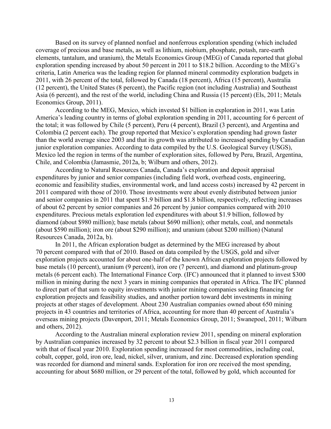Based on its survey of planned nonfuel and nonferrous exploration spending (which included coverage of precious and base metals, as well as lithium, niobium, phosphate, potash, rare-earth elements, tantalum, and uranium), the Metals Economics Group (MEG) of Canada reported that global exploration spending increased by about 50 percent in 2011 to \$18.2 billion. According to the MEG's criteria, Latin America was the leading region for planned mineral commodity exploration budgets in 2011, with 26 percent of the total, followed by Canada (18 percent), Africa (15 percent), Australia (12 percent), the United States (8 percent), the Pacific region (not including Australia) and Southeast Asia (6 percent), and the rest of the world, including China and Russia (15 percent) (Els, 2011; Metals Economics Group, 2011).

According to the MEG, Mexico, which invested \$1 billion in exploration in 2011, was Latin America's leading country in terms of global exploration spending in 2011, accounting for 6 percent of the total; it was followed by Chile (5 percent), Peru (4 percent), Brazil (3 percent), and Argentina and Colombia (2 percent each). The group reported that Mexico's exploration spending had grown faster than the world average since 2003 and that its growth was attributed to increased spending by Canadian junior exploration companies. According to data compiled by the U.S. Geological Survey (USGS), Mexico led the region in terms of the number of exploration sites, followed by Peru, Brazil, Argentina, Chile, and Colombia (Jamasmie, 2012a, b; Wilburn and others, 2012).

According to Natural Resources Canada, Canada's exploration and deposit appraisal expenditures by junior and senior companies (including field work, overhead costs, engineering, economic and feasibility studies, environmental work, and land access costs) increased by 42 percent in 2011 compared with those of 2010. Those investments were about evenly distributed between junior and senior companies in 2011 that spent \$1.9 billion and \$1.8 billion, respectively, reflecting increases of about 62 percent by senior companies and 26 percent by junior companies compared with 2010 expenditures. Precious metals exploration led expenditures with about \$1.9 billion, followed by diamond (about \$980 million); base metals (about \$690 million); other metals, coal, and nonmetals (about \$590 million); iron ore (about \$290 million); and uranium (about \$200 million) (Natural Resources Canada, 2012a, b).

In 2011, the African exploration budget as determined by the MEG increased by about 70 percent compared with that of 2010. Based on data compiled by the USGS, gold and silver exploration projects accounted for about one-half of the known African exploration projects followed by base metals (10 percent), uranium (9 percent), iron ore (7 percent), and diamond and platinum-group metals (6 percent each). The International Finance Corp. (IFC) announced that it planned to invest \$300 million in mining during the next 3 years in mining companies that operated in Africa. The IFC planned to direct part of that sum to equity investments with junior mining companies seeking financing for exploration projects and feasibility studies, and another portion toward debt investments in mining projects at other stages of development. About 230 Australian companies owned about 650 mining projects in 43 countries and territories of Africa, accounting for more than 40 percent of Australia's overseas mining projects (Davenport, 2011; Metals Economics Group, 2011; Swanepoel, 2011; Wilburn and others, 2012).

According to the Australian mineral exploration review 2011, spending on mineral exploration by Australian companies increased by 32 percent to about \$2.3 billion in fiscal year 2011 compared with that of fiscal year 2010. Exploration spending increased for most commodities, including coal, cobalt, copper, gold, iron ore, lead, nickel, silver, uranium, and zinc. Decreased exploration spending was recorded for diamond and mineral sands. Exploration for iron ore received the most spending, accounting for about \$680 million, or 29 percent of the total, followed by gold, which accounted for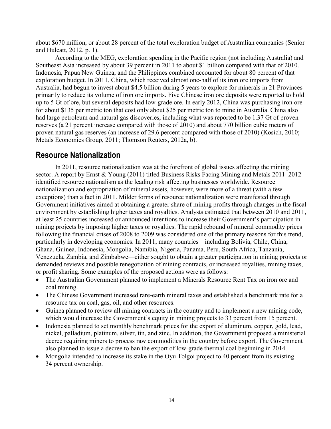about \$670 million, or about 28 percent of the total exploration budget of Australian companies (Senior and Huleatt, 2012, p. 1).

According to the MEG, exploration spending in the Pacific region (not including Australia) and Southeast Asia increased by about 39 percent in 2011 to about \$1 billion compared with that of 2010. Indonesia, Papua New Guinea, and the Philippines combined accounted for about 80 percent of that exploration budget. In 2011, China, which received almost one-half of its iron ore imports from Australia, had begun to invest about \$4.5 billion during 5 years to explore for minerals in 21 Provinces primarily to reduce its volume of iron ore imports. Five Chinese iron ore deposits were reported to hold up to 5 Gt of ore, but several deposits had low-grade ore. In early 2012, China was purchasing iron ore for about \$135 per metric ton that cost only about \$25 per metric ton to mine in Australia. China also had large petroleum and natural gas discoveries, including what was reported to be 1.37 Gt of proven reserves (a 21 percent increase compared with those of 2010) and about 770 billion cubic meters of proven natural gas reserves (an increase of 29.6 percent compared with those of 2010) (Kosich, 2010; Metals Economics Group, 2011; Thomson Reuters, 2012a, b).

## **Resource Nationalization**

In 2011, resource nationalization was at the forefront of global issues affecting the mining sector. A report by Ernst & Young (2011) titled Business Risks Facing Mining and Metals 2011–2012 identified resource nationalism as the leading risk affecting businesses worldwide. Resource nationalization and expropriation of mineral assets, however, were more of a threat (with a few exceptions) than a fact in 2011. Milder forms of resource nationalization were manifested through Government initiatives aimed at obtaining a greater share of mining profits through changes in the fiscal environment by establishing higher taxes and royalties. Analysts estimated that between 2010 and 2011, at least 25 countries increased or announced intentions to increase their Government's participation in mining projects by imposing higher taxes or royalties. The rapid rebound of mineral commodity prices following the financial crises of 2008 to 2009 was considered one of the primary reasons for this trend, particularly in developing economies. In 2011, many countries—including Bolivia, Chile, China, Ghana, Guinea, Indonesia, Mongolia, Namibia, Nigeria, Panama, Peru, South Africa, Tanzania, Venezuela, Zambia, and Zimbabwe—either sought to obtain a greater participation in mining projects or demanded reviews and possible renegotiation of mining contracts, or increased royalties, mining taxes, or profit sharing. Some examples of the proposed actions were as follows:

- The Australian Government planned to implement a Minerals Resource Rent Tax on iron ore and coal mining.
- The Chinese Government increased rare-earth mineral taxes and established a benchmark rate for a resource tax on coal, gas, oil, and other resources.
- Guinea planned to review all mining contracts in the country and to implement a new mining code, which would increase the Government's equity in mining projects to 33 percent from 15 percent.
- Indonesia planned to set monthly benchmark prices for the export of aluminum, copper, gold, lead, nickel, palladium, platinum, silver, tin, and zinc. In addition, the Government proposed a ministerial decree requiring miners to process raw commodities in the country before export. The Government also planned to issue a decree to ban the export of low-grade thermal coal beginning in 2014.
- Mongolia intended to increase its stake in the Oyu Tolgoi project to 40 percent from its existing 34 percent ownership.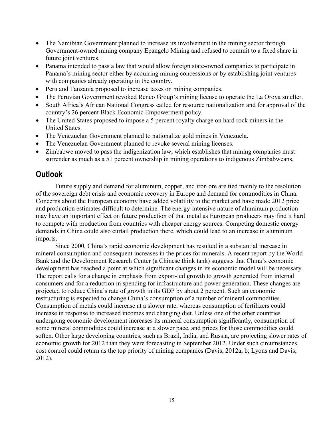- The Namibian Government planned to increase its involvement in the mining sector through Government-owned mining company Epangelo Mining and refused to commit to a fixed share in future joint ventures.
- Panama intended to pass a law that would allow foreign state-owned companies to participate in Panama's mining sector either by acquiring mining concessions or by establishing joint ventures with companies already operating in the country.
- Peru and Tanzania proposed to increase taxes on mining companies.
- The Peruvian Government revoked Renco Group's mining license to operate the La Oroya smelter.
- South Africa's African National Congress called for resource nationalization and for approval of the country's 26 percent Black Economic Empowerment policy.
- The United States proposed to impose a 5 percent royalty charge on hard rock miners in the United States.
- The Venezuelan Government planned to nationalize gold mines in Venezuela.
- The Venezuelan Government planned to revoke several mining licenses.
- Zimbabwe moved to pass the indigenization law, which establishes that mining companies must surrender as much as a 51 percent ownership in mining operations to indigenous Zimbabweans.

## **Outlook**

Future supply and demand for aluminum, copper, and iron ore are tied mainly to the resolution of the sovereign debt crisis and economic recovery in Europe and demand for commodities in China. Concerns about the European economy have added volatility to the market and have made 2012 price and production estimates difficult to determine. The energy-intensive nature of aluminum production may have an important effect on future production of that metal as European producers may find it hard to compete with production from countries with cheaper energy sources. Competing domestic energy demands in China could also curtail production there, which could lead to an increase in aluminum imports.

Since 2000, China's rapid economic development has resulted in a substantial increase in mineral consumption and consequent increases in the prices for minerals. A recent report by the World Bank and the Development Research Center (a Chinese think tank) suggests that China's economic development has reached a point at which significant changes in its economic model will be necessary. The report calls for a change in emphasis from export-led growth to growth generated from internal consumers and for a reduction in spending for infrastructure and power generation. These changes are projected to reduce China's rate of growth in its GDP by about 2 percent. Such an economic restructuring is expected to change China's consumption of a number of mineral commodities. Consumption of metals could increase at a slower rate, whereas consumption of fertilizers could increase in response to increased incomes and changing diet. Unless one of the other countries undergoing economic development increases its mineral consumption significantly, consumption of some mineral commodities could increase at a slower pace, and prices for those commodities could soften. Other large developing countries, such as Brazil, India, and Russia, are projecting slower rates of economic growth for 2012 than they were forecasting in September 2012. Under such circumstances, cost control could return as the top priority of mining companies (Davis, 2012a, b; Lyons and Davis, 2012).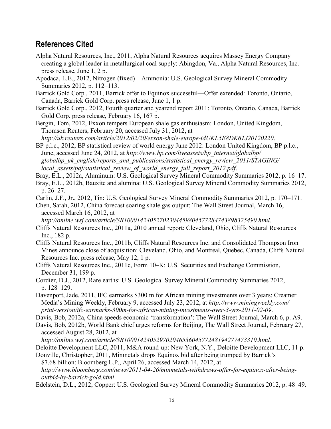## **References Cited**

- Alpha Natural Resources, Inc., 2011, Alpha Natural Resources acquires Massey Energy Company creating a global leader in metallurgical coal supply: Abingdon, Va., Alpha Natural Resources, Inc. press release, June 1, 2 p.
- Apodaca, L.E., 2012, Nitrogen (fixed)—Ammonia: U.S. Geological Survey Mineral Commodity Summaries 2012, p. 112–113.
- Barrick Gold Corp., 2011, Barrick offer to Equinox successful—Offer extended: Toronto, Ontario, Canada, Barrick Gold Corp. press release, June 1, 1 p.
- Barrick Gold Corp., 2012, Fourth quarter and yearend report 2011: Toronto, Ontario, Canada, Barrick Gold Corp. press release, February 16, 167 p.

Bergin, Tom, 2012, Exxon tempers European shale gas enthusiasm: London, United Kingdom, Thomson Reuters, February 20, accessed July 31, 2012, at *<http://uk.reuters.com/article/2012/02/20/exxon-shale-europe-idUKL5E8DK6TJ20120220>*.

BP p.l.c., 2012, BP statistical review of world energy June 2012: London United Kingdom, BP p.l.c., June, accessed June 24, 2012, at *[http://www.bp.com/liveassets/bp\\_internet/globalbp/](http://www.bp.com/liveassets/bp_internet/globalbp/globalbp_uk_english/reports_and_publications/statistical_energy_review_2011/STAGING/local_assets/pdf/statistical_review_of_world_energy_full_report_2012.pdf)  [globalbp\\_uk\\_english/reports\\_and\\_publications/statistical\\_energy\\_review\\_2011/STAGING/](http://www.bp.com/liveassets/bp_internet/globalbp/globalbp_uk_english/reports_and_publications/statistical_energy_review_2011/STAGING/local_assets/pdf/statistical_review_of_world_energy_full_report_2012.pdf)  [local\\_assets/pdf/statistical\\_review\\_of\\_world\\_energy\\_full\\_report\\_2012.pdf](http://www.bp.com/liveassets/bp_internet/globalbp/globalbp_uk_english/reports_and_publications/statistical_energy_review_2011/STAGING/local_assets/pdf/statistical_review_of_world_energy_full_report_2012.pdf)*.

Bray, E.L., 2012a, Aluminum: U.S. Geological Survey Mineral Commodity Summaries 2012, p. 16–17.

Bray, E.L., 2012b, Bauxite and alumina: U.S. Geological Survey Mineral Commodity Summaries 2012, p. 26–27.

Carlin, J.F., Jr., 2012, Tin: U.S. Geological Survey Mineral Commodity Summaries 2012, p. 170–171.

Chen, Sarah, 2012, China forecast soaring shale gas output: The Wall Street Journal, March 16, accessed March 16, 2012, at

*<http://online.wsj.com/article/SB10001424052702304459804577284743898325490.html>*.

- Cliffs Natural Resources Inc., 2011a, 2010 annual report: Cleveland, Ohio, Cliffs Natural Resources Inc., 182 p.
- Cliffs Natural Resources Inc., 2011b, Cliffs Natural Resources Inc. and Consolidated Thompson Iron Mines announce close of acquisition: Cleveland, Ohio, and Montreal, Quebec, Canada, Cliffs Natural Resources Inc. press release, May 12, 1 p.

Cliffs Natural Resources Inc., 2011c, Form 10–K: U.S. Securities and Exchange Commission, December 31, 199 p.

- Cordier, D.J., 2012, Rare earths: U.S. Geological Survey Mineral Commodity Summaries 2012, p. 128–129.
- Davenport, Jade, 2011, IFC earmarks \$300 m for African mining investments over 3 years: Creamer Media's Mining Weekly, February 9, accessed July 23, 2012, at *[http://www.miningweekly.com/](http://www.miningweekly.com/print-version/ifc-earmarks-300m-for-african-mining-investments-over-3-yrs-2011-02-09)  [print-version/ifc-earmarks-300m-for-african-mining-investments-over-3-yrs-2011-02-09](http://www.miningweekly.com/print-version/ifc-earmarks-300m-for-african-mining-investments-over-3-yrs-2011-02-09)*.

Davis, Bob, 2012a, China speeds economic 'transformation': The Wall Street Journal, March 6, p. A9.

Davis, Bob, 2012b, World Bank chief urges reforms for Beijing, The Wall Street Journal, February 27, accessed August 28, 2012, at

*<http://online.wsj.com/article/SB10001424052970204653604577248194277473310.html>*.

Deloitte Development LLC, 2011, M&A round-up: New York, N.Y., Deloitte Development LLC, 11 p.

Donville, Christopher, 2011, Minmetals drops Equinox bid after being trumped by Barrick's \$7.68 billion: Bloomberg L.P., April 26, accessed March 14, 2012, at *[http://www.bloomberg.com/news/2011-04-26/minmetals-withdraws-offer-for-equinox-after-being](http://www.bloomberg.com/news/2011-04-26/minmetals-withdraws-offer-for-equinox-after-being-outbid-by-barrick-gold.html)[outbid-by-barrick-gold.html](http://www.bloomberg.com/news/2011-04-26/minmetals-withdraws-offer-for-equinox-after-being-outbid-by-barrick-gold.html)*.

Edelstein, D.L., 2012, Copper: U.S. Geological Survey Mineral Commodity Summaries 2012, p. 48–49.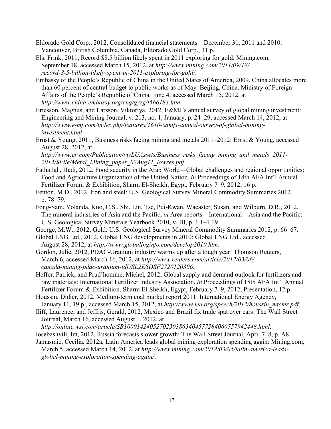- Eldorado Gold Corp., 2012, Consolidated financial statements—December 31, 2011 and 2010: Vancouver, British Columbia, Canada, Eldorado Gold Corp., 31 p.
- Els, Frink, 2011, Record \$8.5 billion likely spent in 2011 exploring for gold: Mining.com, September 18, accessed March 15, 2012, at *[http://www.mining.com/2011/09/18/](http://www.mining.com/2011/09/18/record-8-5-billion-likely-spent-in-2011-exploring-for-gold/)  [record-8-5-billion-likely-spent-in-2011-exploring-for-gold/](http://www.mining.com/2011/09/18/record-8-5-billion-likely-spent-in-2011-exploring-for-gold/)*.
- Embassy of the People's Republic of China in the United States of America, 2009, China allocates more than 60 percent of central budget to public works as of May: Beijing, China, Ministry of Foreign Affairs of the People's Republic of China, June 4, accessed March 15, 2012, at *<http://www.china-embassy.org/eng/gyzg/t566183.htm>*.
- Ericsson, Magnus, and Larsson, Viktoriya, 2012, E&MJ's annual survey of global mining investment: Engineering and Mining Journal, v. 213, no. 1, January, p. 24–29, accessed March 14, 2012, at *[http://www.e-mj.com/index.php/features/1610-eamjs-annual-survey-of-global-mining](http://www.e-mj.com/index.php/features/1610-eamjs-annual-survey-of-global-mining-investment.html)[investment.html](http://www.e-mj.com/index.php/features/1610-eamjs-annual-survey-of-global-mining-investment.html)*.
- Ernst & Young, 2011, Business risks facing mining and metals 2011–2012: Ernst & Young, accessed August 28, 2012, at

*[http://www.ey.com/Publication/vwLUAssets/Business\\_risks\\_facing\\_mining\\_and\\_metals\\_2011-](http://www.ey.com/Publication/vwLUAssets/Business_risks_facing_mining_and_metals_2011-2012/$File/Metal_Mining_paper_02Aug11_lowres.pdf) [2012/\\$File/Metal\\_Mining\\_paper\\_02Aug11\\_lowres.pdf](http://www.ey.com/Publication/vwLUAssets/Business_risks_facing_mining_and_metals_2011-2012/$File/Metal_Mining_paper_02Aug11_lowres.pdf)*.

- Fathallah, Hadi, 2012, Food security in the Arab World—Global challenges and regional opportunities: Food and Agriculture Organization of the United Nation, *in* Proceedings of 18th AFA Int'l Annual Fertilizer Forum & Exhibition, Sharm El-Sheikh, Egypt, February 7–9, 2012, 16 p.
- Fenton, M.D., 2012, Iron and steel: U.S. Geological Survey Mineral Commodity Summaries 2012, p. 78–79.
- Fong-Sam, Yolanda, Kuo, C.S., Shi, Lin, Tse, Pui-Kwan, Wacaster, Susan, and Wilburn, D.R., 2012, The mineral industries of Asia and the Pacific, *in* Area reports—International—Asia and the Pacific: U.S. Geological Survey Minerals Yearbook 2010, v. III, p. 1.1–1.19.
- George, M.W., 2012, Gold: U.S. Geological Survey Mineral Commodity Summaries 2012, p. 66–67.
- Global LNG Ltd., 2012, Global LNG developments in 2010: Global LNG Ltd., accessed August 28, 2012, at *<http://www.globallnginfo.com/develop2010.htm>*.
- Gordon, Julie, 2012, PDAC-Uranium industry warms up after a tough year: Thomson Reuters, March 6, accessed March 16, 2012, at *[http://www.reuters.com/article/2012/03/06/](http://www.reuters.com/article/2012/03/06/canada-mining-pdac-uranium-idUSL2E8DSF2720120306)  [canada-mining-pdac-uranium-idUSL2E8DSF2720120306](http://www.reuters.com/article/2012/03/06/canada-mining-pdac-uranium-idUSL2E8DSF2720120306)*.
- Heffer, Patrick, and Prud'homme, Michel, 2012, Global supply and demand outlook for fertilizers and raw materials: International Fertilizer Industry Association, *in* Proceedings of 18th AFA Int'l Annual Fertilizer Forum & Exhibition, Sharm El-Sheikh, Egypt, February 7–9, 2012, Presentation, 12 p.
- Houssin, Didier, 2012, Medium-term coal market report 2011: International Energy Agency,
- January 11, 19 p., accessed March 15, 2012, at *[http://www.iea.org/speech/2012/houssin\\_mtcmr.pdf](http://www.iea.org/speech/2012/houssin_mtcmr.pdf)*.
- Iliff, Laurence, and Jeffris, Gerald, 2012, Mexico and Brazil fix trade spat over cars: The Wall Street Journal, March 16, accessed August 1, 2012, at

*<http://online.wsj.com/article/SB10001424052702303863404577284060757942448.html>*.

- Iosebashvili, Ira, 2012, Russia forecasts slower growth: The Wall Street Journal, April 7–8, p. A8.
- Jamasmie, Cecilia, 2012a, Latin America leads global mining exploration spending again: Mining.com, March 5, accessed March 14, 2012, at *[http://www.mining.com/2012/03/05/latin-america-leads](http://www.mining.com/2012/03/05/latin-america-leads-global-mining-exploration-spending-again/)[global-mining-exploration-spending-again/](http://www.mining.com/2012/03/05/latin-america-leads-global-mining-exploration-spending-again/)*.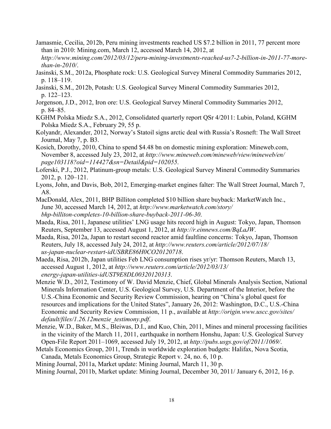- Jamasmie, Cecilia, 2012b, Peru mining investments reached US \$7.2 billion in 2011, 77 percent more than in 2010: Mining.com, March 12, accessed March 14, 2012, at *[http://www.mining.com/2012/03/12/peru-mining-investments-reached-us7-2-billion-in-2011-77-more-](http://www.mining.com/2012/03/12/peru-mining-investments-reached-us7-2-billion-in-2011-77-more-than-in-2010/)*
- *[than-in-2010/](http://www.mining.com/2012/03/12/peru-mining-investments-reached-us7-2-billion-in-2011-77-more-than-in-2010/)*. Jasinski, S.M., 2012a, Phosphate rock: U.S. Geological Survey Mineral Commodity Summaries 2012, p. 118–119.
- Jasinski, S.M., 2012b, Potash: U.S. Geological Survey Mineral Commodity Summaries 2012, p. 122–123.
- Jorgenson, J.D., 2012, Iron ore: U.S. Geological Survey Mineral Commodity Summaries 2012, p. 84–85.
- KGHM Polska Miedz S.A., 2012, Consolidated quarterly report QSr 4/2011: Lubin, Poland, KGHM Polska Miedz S.A., February 29, 55 p.
- Kolyandr, Alexander, 2012, Norway's Statoil signs arctic deal with Russia's Rosneft: The Wall Street Journal, May 7, p. B3.
- Kosich, Dorothy, 2010, China to spend \$4.48 bn on domestic mining exploration: Mineweb.com, November 8, accessed July 23, 2012, at *[http://www.mineweb.com/mineweb/view/mineweb/en/](http://www.mineweb.com/mineweb/view/mineweb/en/page103118?oid=114427&sn=Detail&pid=102055) [page103118?oid=114427&sn=Detail&pid=102055](http://www.mineweb.com/mineweb/view/mineweb/en/page103118?oid=114427&sn=Detail&pid=102055)*.
- Loferski, P.J., 2012, Platinum-group metals: U.S. Geological Survey Mineral Commodity Summaries 2012, p. 120–121.
- Lyons, John, and Davis, Bob, 2012, Emerging-market engines falter: The Wall Street Journal, March 7, A8.
- MacDonald, Alex, 2011, BHP Billiton completed \$10 billion share buyback: MarketWatch Inc., June 30, accessed March 14, 2012, at *[http://www.marketwatch.com/story/](http://www.marketwatch.com/story/bhp-billiton-completes-10-billion-share-buyback-2011-06-30)  [bhp-billiton-completes-10-billion-share-buyback-2011-06-30](http://www.marketwatch.com/story/bhp-billiton-completes-10-billion-share-buyback-2011-06-30)*.
- Maeda, Risa, 2011, Japanese utilities' LNG usage hits record high in August: Tokyo, Japan, Thomson Reuters, September 13, accessed August 1, 2012, at *<http://r.einnews.com/BqLaJW>*.
- Maeda, Risa, 2012a, Japan to restart second reactor amid faultline concerns: Tokyo, Japan, Thomson Reuters, July 18, accessed July 24, 2012, at *[http://www.reuters.com/article/2012/07/18/](http://www.reuters.com/article/2012/07/18/%0bus-japan-nuclear-restart-idUSBRE86H0CO20120718)  [us-japan-nuclear-restart-idUSBRE86H0CO20120718](http://www.reuters.com/article/2012/07/18/%0bus-japan-nuclear-restart-idUSBRE86H0CO20120718)*.
- Maeda, Risa, 2012b, Japan utilities Feb LNG consumption rises yr/yr: Thomson Reuters, March 13, accessed August 1, 2012, at *[http://www.reuters.com/article/2012/03/13/](http://www.reuters.com/article/2012/03/13/energy-japan-utilities-idUST9E8DL00320120313)  [energy-japan-utilities-idUST9E8DL00320120313](http://www.reuters.com/article/2012/03/13/energy-japan-utilities-idUST9E8DL00320120313)*.
- Menzie W.D., 2012, Testimony of W. David Menzie, Chief, Global Minerals Analysis Section, National Minerals Information Center, U.S. Geological Survey, U.S. Department of the Interior, before the U.S.-China Economic and Security Review Commission, hearing on "China's global quest for resources and implications for the United States", January 26, 2012: Washington, D.C., U.S.-China Economic and Security Review Commission, 11 p., available at *[http://origin.www.uscc.gov/sites/](http://origin.www.uscc.gov/sites/default/files/1.26.12menzie_testimony.pdf)  [default/files/1.26.12menzie\\_testimony.pdf](http://origin.www.uscc.gov/sites/default/files/1.26.12menzie_testimony.pdf)*.
- Menzie, W.D., Baker, M.S., Bleiwas, D.I., and Kuo, Chin, 2011, Mines and mineral processing facilities in the vicinity of the March 11, 2011, earthquake in northern Honshu, Japan: U.S. Geological Survey Open-File Report 2011–1069, accessed July 19, 2012, at *<http://pubs.usgs.gov/of/2011/1069/>*.
- Metals Economics Group, 2011, Trends in worldwide exploration budgets: Halifax, Nova Scotia, Canada, Metals Economics Group, Strategic Report v. 24, no. 6, 10 p.
- Mining Journal, 2011a, Market update: Mining Journal, March 11, 30 p.
- Mining Journal, 2011b, Market update: Mining Journal, December 30, 2011/ January 6, 2012, 16 p.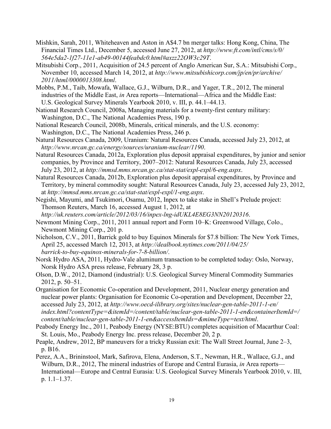- Mishkin, Sarah, 2011, Whiteheaven and Aston in A\$4.7 bn merger talks: Hong Kong, China, The Financial Times Ltd., December 5, accessed June 27, 2012, at *[http://www.ft.com/intl/cms/s/0/](http://www.ft.com/intl/cms/s/0/564e5da2-1f27-11e1-ab49-00144feabdc0.html#axzz22OW3c29T) [564e5da2-1f27-11e1-ab49-00144feabdc0.html#axzz22OW3c29T](http://www.ft.com/intl/cms/s/0/564e5da2-1f27-11e1-ab49-00144feabdc0.html#axzz22OW3c29T)*.
- Mitsubishi Corp., 2011, Acquisition of 24.5 percent of Anglo American Sur, S.A.: Mitsubishi Corp., November 10, accessed March 14, 2012, at *[http://www.mitsubishicorp.com/jp/en/pr/archive/](http://www.mitsubishicorp.com/jp/en/pr/archive/2011/html/0000013308.html)  [2011/html/0000013308.html](http://www.mitsubishicorp.com/jp/en/pr/archive/2011/html/0000013308.html)*.
- Mobbs, P.M., Taib, Mowafa, Wallace, G.J., Wilburn, D.R., and Yager, T.R., 2012, The mineral industries of the Middle East, *in* Area reports—International—Africa and the Middle East: U.S. Geological Survey Minerals Yearbook 2010, v. III, p. 44.1–44.13.
- National Research Council, 2008a, Managing materials for a twenty-first century military: Washington, D.C., The National Academies Press, 190 p.
- National Research Council, 2008b, Minerals, critical minerals, and the U.S. economy: Washington, D.C., The National Academies Press, 246 p.
- Natural Resources Canada, 2009, Uranium: Natural Resources Canada, accessed July 23, 2012, at *<http://www.nrcan.gc.ca/energy/sources/uranium-nuclear/1190>*.
- Natural Resources Canada, 2012a, Exploration plus deposit appraisal expenditures, by junior and senior companies, by Province and Territory, 2007–2012: Natural Resources Canada, July 23, accessed July 23, 2012, at *<http://mmsd.mms.nrcan.gc.ca/stat-stat/expl-expl/6-eng.aspx>*.
- Natural Resources Canada, 2012b, Exploration plus deposit appraisal expenditures, by Province and Territory, by mineral commodity sought: Natural Resources Canada, July 23, accessed July 23, 2012, at *<http://mmsd.mms.nrcan.gc.ca/stat-stat/expl-expl/1-eng.aspx>*.
- Negishi, Mayumi, and Tsukimori, Osamu, 2012, Inpex to take stake in Shell's Prelude project: Thomson Reuters, March 16, accessed August 1, 2012, at
- *<http://uk.reuters.com/article/2012/03/16/inpex-lng-idUKL4E8EG3NN20120316>*.
- Newmont Mining Corp., 2011, 2011 annual report and Form 10–K: Greenwood Village, Colo., Newmont Mining Corp., 201 p.
- Nicholson, C.V., 2011, Barrick gold to buy Equinox Minerals for \$7.8 billion: The New York Times, April 25, accessed March 12, 2013, at *[http://dealbook.nytimes.com/2011/04/25/](http://dealbook.nytimes.com/2011/04/25/barrick-to-buy-equinox-minerals-for-7-8-billion/)  [barrick-to-buy-equinox-minerals-for-7-8-billion/](http://dealbook.nytimes.com/2011/04/25/barrick-to-buy-equinox-minerals-for-7-8-billion/)*.
- Norsk Hydro ASA, 2011, Hydro-Vale aluminum transaction to be completed today: Oslo, Norway, Norsk Hydro ASA press release, February 28, 3 p.
- Olson, D.W., 2012, Diamond (industrial): U.S. Geological Survey Mineral Commodity Summaries 2012, p. 50–51.
- Organisation for Economic Co-operation and Development, 2011, Nuclear energy generation and nuclear power plants: Organisation for Economic Co-operation and Development, December 22, accessed July 23, 2012, at *[http://www.oecd-ilibrary.org/sites/nuclear-gen-table-2011-1-en/](http://www.oecd-ilibrary.org/sites/nuclear-gen-table-2011-1-en/index.html?contentType=&itemId=/content/table/nuclear-gen-table-2011-1-en&containerItemId=/content/table/nuclear-gen-table-2011-1-en&accessItemIds=&mimeType=text/html)  [index.html?contentType=&itemId=/content/table/nuclear-gen-table-2011-1-en&containerItemId=/](http://www.oecd-ilibrary.org/sites/nuclear-gen-table-2011-1-en/index.html?contentType=&itemId=/content/table/nuclear-gen-table-2011-1-en&containerItemId=/content/table/nuclear-gen-table-2011-1-en&accessItemIds=&mimeType=text/html)  [content/table/nuclear-gen-table-2011-1-en&accessItemIds=&mimeType=text/html](http://www.oecd-ilibrary.org/sites/nuclear-gen-table-2011-1-en/index.html?contentType=&itemId=/content/table/nuclear-gen-table-2011-1-en&containerItemId=/content/table/nuclear-gen-table-2011-1-en&accessItemIds=&mimeType=text/html)*.
- Peabody Energy Inc., 2011, Peabody Energy (NYSE:BTU) completes acquisition of Macarthur Coal: St. Louis, Mo., Peabody Energy Inc. press release, December 20, 2 p.
- Peaple, Andrew, 2012, BP maneuvers for a tricky Russian exit: The Wall Street Journal, June 2–3, p. B16.
- Perez, A.A., Brininstool, Mark, Safirova, Elena, Anderson, S.T., Newman, H.R., Wallace, G.J., and Wilburn, D.R., 2012, The mineral industries of Europe and Central Eurasia, *in* Area reports— International—Europe and Central Eurasia: U.S. Geological Survey Minerals Yearbook 2010, v. III, p. 1.1–1.37.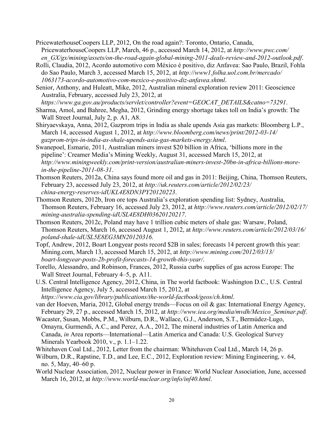- PricewaterhouseCoopers LLP, 2012, On the road again?: Toronto, Ontario, Canada, PricewaterhouseCoopers LLP, March, 46 p., accessed March 14, 2012, at *[http://www.pwc.com/](http://www.pwc.com/%0ben_GX/gx/mining/assets/on-the-road-again-global-mining-2011-deals-review-and-2012-outlook.pdf)  [en\\_GX/gx/mining/assets/on-the-road-again-global-mining-2011-deals-review-and-2012-outlook.pdf](http://www.pwc.com/%0ben_GX/gx/mining/assets/on-the-road-again-global-mining-2011-deals-review-and-2012-outlook.pdf)*.
- Rolli, Claudia, 2012, Acordo automotivo com México é positivo, diz Anfavea: Sao Paulo, Brazil, Fohla do Sao Paulo, March 3, accessed March 15, 2012, at *[http://www1.folha.uol.com.br/mercado/](http://www1.folha.uol.com.br/mercado/1063173-acordo-automotivo-com-mexico-e-positivo-diz-anfavea.shtml)  [1063173-acordo-automotivo-com-mexico-e-positivo-diz-anfavea.shtml](http://www1.folha.uol.com.br/mercado/1063173-acordo-automotivo-com-mexico-e-positivo-diz-anfavea.shtml)*.
- Senior, Anthony, and Huleatt, Mike, 2012, Australian mineral exploration review 2011: Geoscience Australia, February, accessed July 23, 2012, at

*[https://www.ga.gov.au/products/servlet/controller?event=GEOCAT\\_DETAILS&catno=73291](https://www.ga.gov.au/products/servlet/controller?event=GEOCAT_DETAILS&catno=73291)*.

- Sharma, Amol, and Bahree, Megha, 2012, Grinding energy shortage takes toll on India's growth: The Wall Street Journal, July 2, p. A1, A8.
- Shiryaevskaya, Anna, 2012, Gazprom trips in India as shale upends Asia gas markets: Bloomberg L.P., March 14, accessed August 1, 2012, at *[http://www.bloomberg.com/news/print/2012-03-14/](http://www.bloomberg.com/news/print/2012-03-14/gazprom-trips-in-india-as-shale-upends-asia-gas-markets-energy.html)  [gazprom-trips-in-india-as-shale-upends-asia-gas-markets-energy.html](http://www.bloomberg.com/news/print/2012-03-14/gazprom-trips-in-india-as-shale-upends-asia-gas-markets-energy.html)*.
- Swanepoel, Esmarie, 2011, Australian miners invest \$20 billion in Africa, 'billions more in the pipeline': Creamer Media's Mining Weekly, August 31, accessed March 15, 2012, at *[http://www.miningweekly.com/print-version/australian-miners-invest-20bn-in-africa-billions-more](http://www.miningweekly.com/print-version/australian-miners-invest-20bn-in-africa-billions-more-in-the-pipeline-2011-08-31)[in-the-pipeline-2011-08-31](http://www.miningweekly.com/print-version/australian-miners-invest-20bn-in-africa-billions-more-in-the-pipeline-2011-08-31)*.
- Thomson Reuters, 2012a, China says found more oil and gas in 2011: Beijing, China, Thomson Reuters, February 23, accessed July 23, 2012, at *[http://uk.reuters.com/article/2012/02/23/](http://uk.reuters.com/article/2012/02/23/china-energy-reserves-idUKL4E8DN3PY20120223)  [china-energy-reserves-idUKL4E8DN3PY20120223](http://uk.reuters.com/article/2012/02/23/china-energy-reserves-idUKL4E8DN3PY20120223)*.
- Thomson Reuters, 2012b, Iron ore tops Australia's exploration spending list: Sydney, Australia, Thomson Reuters, February 16, accessed July 23, 2012, at *[http://www.reuters.com/article/2012/02/17/](http://www.reuters.com/article/2012/02/17/mining-australia-spending-idUSL4E8DH03620120217)  [mining-australia-spending-idUSL4E8DH03620120217](http://www.reuters.com/article/2012/02/17/mining-australia-spending-idUSL4E8DH03620120217)*.
- Thomson Reuters, 2012c, Poland may have 1 trillion cubic meters of shale gas: Warsaw, Poland, Thomson Reuters, March 16, accessed August 1, 2012, at *[http://www.reuters.com/article/2012/03/16/](http://www.reuters.com/article/2012/03/16/poland-shale-idUSL5E8EG3MN20120316)  [poland-shale-idUSL5E8EG3MN20120316](http://www.reuters.com/article/2012/03/16/poland-shale-idUSL5E8EG3MN20120316)*.
- Topf, Andrew, 2012, Boart Longyear posts record \$2B in sales; forecasts 14 percent growth this year: Mining.com, March 13, accessed March 15, 2012, at *[http://www.mining.com/2012/03/13/](http://www.mining.com/2012/03/13/%0bboart-longyear-posts-2b-profit-forecasts-14-growth-this-year/)  [boart-longyear-posts-2b-profit-forecasts-14-growth-this-year/](http://www.mining.com/2012/03/13/%0bboart-longyear-posts-2b-profit-forecasts-14-growth-this-year/)*.
- Torello, Alessandro, and Robinson, Frances, 2012, Russia curbs supplies of gas across Europe: The Wall Street Journal, February 4–5, p. A11.
- U.S. Central Intelligence Agency, 2012, China, in The world factbook: Washington D.C., U.S. Central Intelligence Agency, July 5, accessed March 15, 2012, at

*<https://www.cia.gov/library/publications/the-world-factbook/geos/ch.html>*.

van der Hoeven, Maria, 2012, Global energy trends—Focus on oil & gas: International Energy Agency, February 29, 27 p., accessed March 15, 2012, at *[http://www.iea.org/media/mvdh/Mexico\\_Seminar.pdf](http://www.iea.org/media/mvdh/Mexico_Seminar.pdf)*.

- Wacaster, Susan, Mobbs, P.M., Wilburn, D.R., Wallace, G.J., Anderson, S.T., Bermúdez-Lugo, Omayra, Gurmendi, A.C., and Perez, A.A., 2012, The mineral industries of Latin America and Canada, *in* Area reports—International—Latin America and Canada: U.S. Geological Survey Minerals Yearbook 2010, v., p. 1.1–1.22.
- Whitehaven Coal Ltd., 2012, Letter from the chairman: Whitehaven Coal Ltd., March 14, 26 p.
- Wilburn, D.R., Rapstine, T.D., and Lee, E.C., 2012, Exploration review: Mining Engineering, v. 64, no. 5, May, 40–60 p.
- World Nuclear Association, 2012, Nuclear power in France: World Nuclear Association, June, accessed March 16, 2012, at *<http://www.world-nuclear.org/info/inf40.html>*.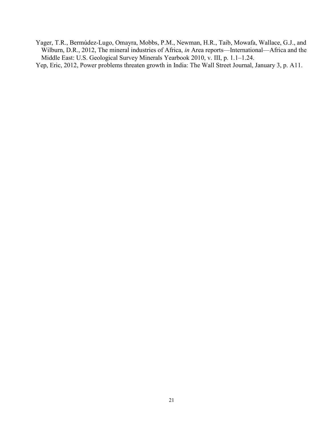Yager, T.R., Bermúdez-Lugo, Omayra, Mobbs, P.M., Newman, H.R., Taib, Mowafa, Wallace, G.J., and Wilburn, D.R., 2012, The mineral industries of Africa, *in* Area reports—International—Africa and the Middle East: U.S. Geological Survey Minerals Yearbook 2010, v. III, p. 1.1–1.24.

Yep, Eric, 2012, Power problems threaten growth in India: The Wall Street Journal, January 3, p. A11.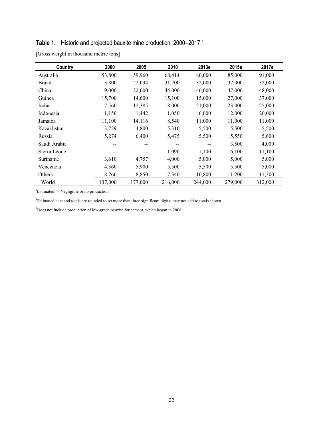#### **Table 1.** Historic and projected bauxite mine production, 2000–2017. 1

| Country                   | 2000    | 2005    | 2010    | 2013e   | 2015e   | 2017e   |
|---------------------------|---------|---------|---------|---------|---------|---------|
| Australia                 | 53,800  | 59,960  | 68,414  | 80,000  | 85,000  | 91,000  |
| <b>Brazil</b>             | 13,800  | 22,034  | 31,700  | 32,000  | 32,000  | 32,000  |
| China                     | 9,000   | 22,000  | 44,000  | 46,000  | 47,000  | 48,000  |
| Guinea                    | 15,700  | 14,600  | 15,100  | 15,000  | 27,000  | 37,000  |
| India                     | 7,560   | 12,385  | 18,000  | 21,000  | 23,000  | 25,000  |
| Indonesia                 | 1,150   | 1,442   | 1,050   | 6,000   | 12,000  | 20,000  |
| Jamaica                   | 11,100  | 14,116  | 8,540   | 11,000  | 11,000  | 11,000  |
| Kazakhstan                | 3,729   | 4,800   | 5,310   | 5,500   | 5,500   | 5,500   |
| Russia                    | 5,274   | 6,400   | 5,475   | 5,500   | 5,550   | 5,600   |
| Saudi Arabia <sup>2</sup> | --      | --      |         |         | 3,500   | 4,000   |
| Sierra Leone              |         | --      | 1,090   | 1,100   | 6,100   | 11,100  |
| Suriname                  | 3,610   | 4,757   | 4,000   | 5,000   | 5,000   | 5,000   |
| Venezuela                 | 4,360   | 5,900   | 5,500   | 5,500   | 5,500   | 5,000   |
| Others                    | 8,260   | 8,850   | 7,340   | 10,800  | 11,200  | 11,300  |
| World                     | 137,000 | 177,000 | 216,000 | 244,000 | 279,000 | 312,000 |

[Gross weight in thousand metric tons]

e Estimated. -- Negligible or no production.

<sup>1</sup>Estimated data and totals are rounded to no more than three significant digits; may not add to totals shown.

<sup>2</sup>Does not include production of low-grade bauxite for cement, which began in 2008.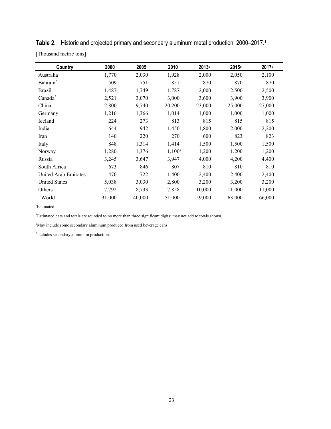| Country              | 2000   | 2005   | 2010      | 2013 <sup>e</sup> | 2015 <sup>e</sup> | 2017 <sup>e</sup> |
|----------------------|--------|--------|-----------|-------------------|-------------------|-------------------|
| Australia            | 1,770  | 2,030  | 1,928     | 2,000             | 2,050             | 2,100             |
| Bahrain <sup>2</sup> | 509    | 751    | 851       | 870               | 870               | 870               |
| <b>Brazil</b>        | 1,487  | 1,749  | 1,787     | 2,000             | 2,500             | 2,500             |
| Canada <sup>3</sup>  | 2,521  | 3,070  | 3,000     | 3,600             | 3,900             | 3,900             |
| China                | 2,800  | 9,740  | 20,200    | 23,000            | 25,000            | 27,000            |
| Germany              | 1,216  | 1,366  | 1,014     | 1,000             | 1,000             | 1,000             |
| Iceland              | 224    | 273    | 813       | 815               | 815               | 815               |
| India                | 644    | 942    | 1,450     | 1,800             | 2,000             | 2,200             |
| Iran                 | 140    | 220    | 270       | 600               | 823               | 823               |
| Italy                | 848    | 1,314  | 1,414     | 1,500             | 1,500             | 1,500             |
| Norway               | 1,280  | 1,376  | $1,100^e$ | 1,200             | 1,200             | 1,200             |
| Russia               | 3,245  | 3,647  | 3,947     | 4,000             | 4,200             | 4,400             |
| South Africa         | 673    | 846    | 807       | 810               | 810               | 810               |
| United Arab Emirates | 470    | 722    | 1,400     | 2,400             | 2,400             | 2,400             |
| <b>United States</b> | 5,038  | 3,030  | 2,800     | 3,200             | 3,200             | 3,200             |
| Others               | 7,792  | 8,733  | 7,858     | 10,000            | 11,000            | 11,000            |
| World                | 31,000 | 40,000 | 51,000    | 59,000            | 63,000            | 66,000            |

**Table 2.** Historic and projected primary and secondary aluminum metal production, 2000–2017. 1

[Thousand metric tons]

e Estimated.

<sup>1</sup>Estimated data and totals are rounded to no more than three significant digits; may not add to totals shown.

<sup>2</sup>May include some secondary aluminum produced from used beverage cans.

3 Includes secondary aluminum production.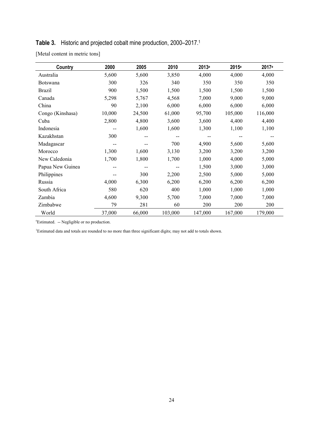#### **Table 3.** Historic and projected cobalt mine production, 2000–2017. 1

[Metal content in metric tons]

| Country          | 2000   | 2005   | 2010    | 2013 <sup>e</sup> | 2015 <sup>e</sup> | 2017 <sup>e</sup> |
|------------------|--------|--------|---------|-------------------|-------------------|-------------------|
| Australia        | 5,600  | 5,600  | 3,850   | 4,000             | 4,000             | 4,000             |
| <b>Botswana</b>  | 300    | 326    | 340     | 350               | 350               | 350               |
| <b>Brazil</b>    | 900    | 1,500  | 1,500   | 1,500             | 1,500             | 1,500             |
| Canada           | 5,298  | 5,767  | 4,568   | 7,000             | 9,000             | 9,000             |
| China            | 90     | 2,100  | 6,000   | 6,000             | 6,000             | 6,000             |
| Congo (Kinshasa) | 10,000 | 24,500 | 61,000  | 95,700            | 105,000           | 116,000           |
| Cuba             | 2,800  | 4,800  | 3,600   | 3,600             | 4,400             | 4,400             |
| Indonesia        |        | 1,600  | 1,600   | 1,300             | 1,100             | 1,100             |
| Kazakhstan       | 300    |        |         |                   |                   |                   |
| Madagascar       |        |        | 700     | 4,900             | 5,600             | 5,600             |
| Morocco          | 1,300  | 1,600  | 3,130   | 3,200             | 3,200             | 3,200             |
| New Caledonia    | 1,700  | 1,800  | 1,700   | 1,000             | 4,000             | 5,000             |
| Papua New Guinea |        |        |         | 1,500             | 3,000             | 3,000             |
| Philippines      |        | 300    | 2,200   | 2,500             | 5,000             | 5,000             |
| Russia           | 4,000  | 6,300  | 6,200   | 6,200             | 6,200             | 6,200             |
| South Africa     | 580    | 620    | 400     | 1,000             | 1,000             | 1,000             |
| Zambia           | 4,600  | 9,300  | 5,700   | 7,000             | 7,000             | 7,000             |
| Zimbabwe         | 79     | 281    | 60      | 200               | 200               | 200               |
| World            | 37,000 | 66,000 | 103,000 | 147,000           | 167,000           | 179,000           |

e Estimated. -- Negligible or no production.

<sup>1</sup>Estimated data and totals are rounded to no more than three significant digits; may not add to totals shown.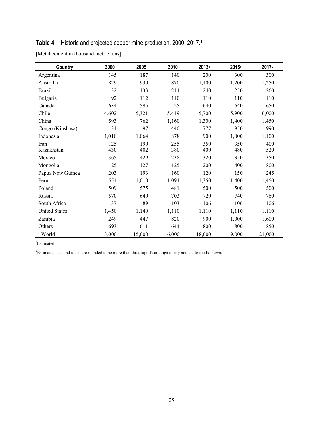#### **Table 4.** Historic and projected copper mine production, 2000–2017. 1

| [Metal content in thousand metric tons] |  |  |  |
|-----------------------------------------|--|--|--|
|-----------------------------------------|--|--|--|

| Country              | 2000   | 2005   | 2010   | 2013 <sup>e</sup> | 2015 <sup>e</sup> | 2017 <sup>e</sup> |
|----------------------|--------|--------|--------|-------------------|-------------------|-------------------|
| Argentina            | 145    | 187    | 140    | 200               | 300               | 300               |
| Australia            | 829    | 930    | 870    | 1,100             | 1,200             | 1,250             |
| <b>Brazil</b>        | 32     | 133    | 214    | 240               | 250               | 260               |
| Bulgaria             | 92     | 112    | 110    | 110               | 110               | 110               |
| Canada               | 634    | 595    | 525    | 640               | 640               | 650               |
| Chile                | 4,602  | 5,321  | 5,419  | 5,700             | 5,900             | 6,000             |
| China                | 593    | 762    | 1,160  | 1,300             | 1,400             | 1,450             |
| Congo (Kinshasa)     | 31     | 97     | 440    | 777               | 950               | 990               |
| Indonesia            | 1,010  | 1,064  | 878    | 900               | 1,000             | 1,100             |
| Iran                 | 125    | 190    | 255    | 350               | 350               | 400               |
| Kazakhstan           | 430    | 402    | 380    | 400               | 480               | 520               |
| Mexico               | 365    | 429    | 238    | 320               | 350               | 350               |
| Mongolia             | 125    | 127    | 125    | 200               | 400               | 800               |
| Papua New Guinea     | 203    | 193    | 160    | 120               | 150               | 245               |
| Peru                 | 554    | 1,010  | 1,094  | 1,350             | 1,400             | 1,450             |
| Poland               | 509    | 575    | 481    | 500               | 500               | 500               |
| Russia               | 570    | 640    | 703    | 720               | 740               | 760               |
| South Africa         | 137    | 89     | 103    | 106               | 106               | 106               |
| <b>United States</b> | 1,450  | 1,140  | 1,110  | 1,110             | 1,110             | 1,110             |
| Zambia               | 249    | 447    | 820    | 900               | 1,000             | 1,600             |
| Others               | 693    | 611    | 644    | 800               | 800               | 850               |
| World                | 13,000 | 15,000 | 16,000 | 18,000            | 19,000            | 21,000            |

e Estimated.

<sup>1</sup>Estimated data and totals are rounded to no more than three significant digits; may not add to totals shown.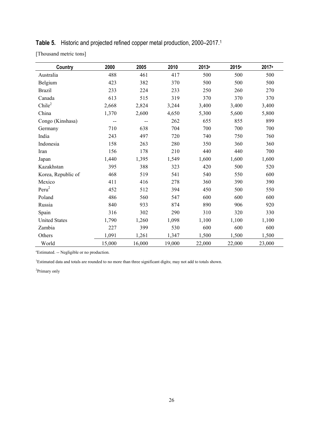#### **Table 5.** Historic and projected refined copper metal production, 2000–2017. 1

[Thousand metric tons]

| <b>Country</b>       | 2000   | 2005   | 2010   | 2013 <sup>e</sup> | 2015 <sup>e</sup> | 2017 <sup>e</sup> |
|----------------------|--------|--------|--------|-------------------|-------------------|-------------------|
| Australia            | 488    | 461    | 417    | 500               | 500               | 500               |
| Belgium              | 423    | 382    | 370    | 500               | 500               | 500               |
| <b>Brazil</b>        | 233    | 224    | 233    | 250               | 260               | 270               |
| Canada               | 613    | 515    | 319    | 370               | 370               | 370               |
| Chile <sup>2</sup>   | 2,668  | 2,824  | 3,244  | 3,400             | 3,400             | 3,400             |
| China                | 1,370  | 2,600  | 4,650  | 5,300             | 5,600             | 5,800             |
| Congo (Kinshasa)     |        |        | 262    | 655               | 855               | 899               |
| Germany              | 710    | 638    | 704    | 700               | 700               | 700               |
| India                | 243    | 497    | 720    | 740               | 750               | 760               |
| Indonesia            | 158    | 263    | 280    | 350               | 360               | 360               |
| Iran                 | 156    | 178    | 210    | 440               | 440               | 700               |
| Japan                | 1,440  | 1,395  | 1,549  | 1,600             | 1,600             | 1,600             |
| Kazakhstan           | 395    | 388    | 323    | 420               | 500               | 520               |
| Korea, Republic of   | 468    | 519    | 541    | 540               | 550               | 600               |
| Mexico               | 411    | 416    | 278    | 360               | 390               | 390               |
| $Peru^2$             | 452    | 512    | 394    | 450               | 500               | 550               |
| Poland               | 486    | 560    | 547    | 600               | 600               | 600               |
| Russia               | 840    | 933    | 874    | 890               | 906               | 920               |
| Spain                | 316    | 302    | 290    | 310               | 320               | 330               |
| <b>United States</b> | 1,790  | 1,260  | 1,098  | 1,100             | 1,100             | 1,100             |
| Zambia               | 227    | 399    | 530    | 600               | 600               | 600               |
| Others               | 1,091  | 1,261  | 1,347  | 1,500             | 1,500             | 1,500             |
| World                | 15,000 | 16,000 | 19,000 | 22,000            | 22,000            | 23,000            |

e Estimated. -- Negligible or no production.

1 Estimated data and totals are rounded to no more than three significant digits; may not add to totals shown.

2 Primary only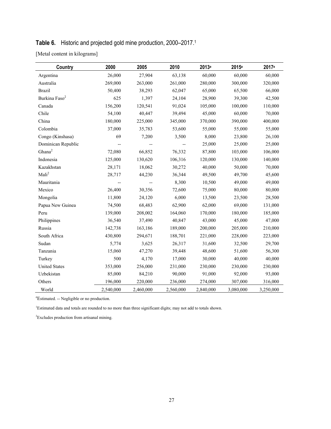### **Table 6.** Historic and projected gold mine production, 2000–2017. 1

[Metal content in kilograms]

| Country                   | 2000      | 2005      | 2010      | 2013 <sup>e</sup> | 2015 <sup>e</sup> | 2017 <sup>e</sup> |
|---------------------------|-----------|-----------|-----------|-------------------|-------------------|-------------------|
| Argentina                 | 26,000    | 27,904    | 63,138    | 60,000            | 60,000            | 60,000            |
| Australia                 | 269,000   | 263,000   | 261,000   | 280,000           | 300,000           | 320,000           |
| <b>Brazil</b>             | 50,400    | 38,293    | 62,047    | 65,000            | 65,500            | 66,000            |
| Burkina Faso <sup>2</sup> | 625       | 1,397     | 24,104    | 28,900            | 39,300            | 42,500            |
| Canada                    | 156,200   | 120,541   | 91,024    | 105,000           | 100,000           | 110,000           |
| Chile                     | 54,100    | 40,447    | 39,494    | 45,000            | 60,000            | 70,000            |
| China                     | 180,000   | 225,000   | 345,000   | 370,000           | 390,000           | 400,000           |
| Colombia                  | 37,000    | 35,783    | 53,600    | 55,000            | 55,000            | 55,000            |
| Congo (Kinshasa)          | 69        | 7,200     | 3,500     | 8,000             | 23,800            | 26,100            |
| Dominican Republic        |           |           |           | 25,000            | 25,000            | 25,000            |
| Ghana <sup>2</sup>        | 72,080    | 66,852    | 76,332    | 87,800            | 103,000           | 106,000           |
| Indonesia                 | 125,000   | 130,620   | 106,316   | 120,000           | 130,000           | 140,000           |
| Kazakhstan                | 28,171    | 18,062    | 30,272    | 40,000            | 50,000            | 70,000            |
| Mali <sup>2</sup>         | 28,717    | 44,230    | 36,344    | 49,500            | 49,700            | 45,600            |
| Mauritania                |           |           | 8,300     | 10,500            | 49,000            | 49,000            |
| Mexico                    | 26,400    | 30,356    | 72,600    | 75,000            | 80,000            | 80,000            |
| Mongolia                  | 11,800    | 24,120    | 6,000     | 13,500            | 23,500            | 28,500            |
| Papua New Guinea          | 74,500    | 68,483    | 62,900    | 62,000            | 69,000            | 131,000           |
| Peru                      | 139,000   | 208,002   | 164,060   | 170,000           | 180,000           | 185,000           |
| Philippines               | 36,540    | 37,490    | 40,847    | 43,000            | 45,000            | 47,000            |
| Russia                    | 142,738   | 163,186   | 189,000   | 200,000           | 205,000           | 210,000           |
| South Africa              | 430,800   | 294,671   | 188,701   | 221,000           | 228,000           | 223,000           |
| Sudan                     | 5,774     | 3,625     | 26,317    | 31,600            | 32,500            | 29,700            |
| Tanzania                  | 15,060    | 47,270    | 39,448    | 48,600            | 51,600            | 56,300            |
| Turkey                    | 500       | 4,170     | 17,000    | 30,000            | 40,000            | 40,000            |
| <b>United States</b>      | 353,000   | 256,000   | 231,000   | 230,000           | 230,000           | 230,000           |
| Uzbekistan                | 85,000    | 84,210    | 90,000    | 91,000            | 92,000            | 93,000            |
| Others                    | 196,000   | 220,000   | 236,000   | 274,000           | 307,000           | 316,000           |
| World                     | 2,540,000 | 2,460,000 | 2,560,000 | 2,840,000         | 3,080,000         | 3,250,000         |

e Estimated. -- Negligible or no production.

<sup>1</sup>Estimated data and totals are rounded to no more than three significant digits; may not add to totals shown.

<sup>2</sup>Excludes production from artisanal mining.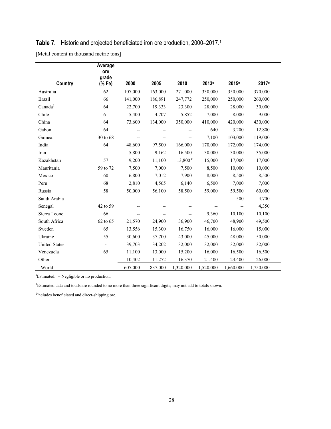#### **Table 7.** Historic and projected beneficiated iron ore production, 2000–2017. 1

[Metal content in thousand metric tons]

| Country              | Average<br>ore<br>grade<br>(% Fe) | 2000    | 2005    | 2010             | 2013 <sup>e</sup> | 2015 <sup>e</sup> | 2017 <sup>e</sup> |  |
|----------------------|-----------------------------------|---------|---------|------------------|-------------------|-------------------|-------------------|--|
| Australia            | 62                                | 107,000 | 163,000 | 271,000          | 330,000           | 350,000           | 370,000           |  |
| <b>Brazil</b>        | 66                                | 141,000 | 186,891 | 247,772          | 250,000           | 250,000           | 260,000           |  |
| Canada <sup>2</sup>  | 64                                | 22,700  | 19,333  | 23,300           | 28,000            | 28,000            | 30,000            |  |
| Chile                | 61                                | 5,400   | 4,707   | 5,852            | 7,000             | 8,000             | 9,000             |  |
| China                | 64                                | 73,600  | 134,000 | 350,000          | 410,000           | 420,000           | 430,000           |  |
| Gabon                | 64                                | $-$     | --      |                  | 640               | 3,200             | 12,800            |  |
| Guinea               | 30 to 68                          | $-$     | $-$     | $-$              | 7,100             | 103,000           | 119,000           |  |
| India                | 64                                | 48,600  | 97,500  | 166,000          | 170,000           | 172,000           | 174,000           |  |
| Iran                 | $\qquad \qquad \blacksquare$      | 5,800   | 9,162   | 16,500           | 30,000            | 30,000            | 35,000            |  |
| Kazakhstan           | 57                                | 9,200   | 11,100  | $13,800^{\circ}$ | 15,000            | 17,000            | 17,000            |  |
| Mauritania           | 59 to 72                          | 7,500   | 7,000   | 7,500            | 8,500             | 10,000            | 10,000            |  |
| Mexico               | 60                                | 6,800   | 7,012   | 7,900            | 8,000             | 8,500             | 8,500             |  |
| Peru                 | 68                                | 2,810   | 4,565   | 6,140            | 6,500             | 7,000             | 7,000             |  |
| Russia               | 58                                | 50,000  | 56,100  | 58,500           | 59,000            | 59,500            | 60,000            |  |
| Saudi Arabia         |                                   | $-$     | $-$     | $-$              | $-$               | 500               | 4,700             |  |
| Senegal              | 42 to 59                          |         |         |                  | $-$               | $\overline{a}$    | 4,350             |  |
| Sierra Leone         | 66                                | $-$     | $-$     | $-$              | 9,360             | 10,100            | 10,100            |  |
| South Africa         | 62 to 65                          | 21,570  | 24,900  | 36,900           | 46,700            | 48,900            | 49,500            |  |
| Sweden               | 65                                | 13,556  | 15,300  | 16,750           | 16,000            | 16,000            | 15,000            |  |
| Ukraine              | 55                                | 30,600  | 37,700  | 43,000           | 45,000            | 48,000            | 50,000            |  |
| <b>United States</b> | $\overline{\phantom{a}}$          | 39,703  | 34,202  | 32,000           | 32,000            | 32,000            | 32,000            |  |
| Venezuela            | 65                                | 11,100  | 13,000  | 15,200           | 16,000            | 16,500            | 16,500            |  |
| Other                |                                   | 10,402  | 11,272  | 16,370           | 21,400            | 23,400            | 26,000            |  |
| World                |                                   | 607,000 | 837,000 | 1,320,000        | 1,520,000         | 1,660,000         | 1,750,000         |  |

e Estimated. -- Negligible or no production.

1 Estimated data and totals are rounded to no more than three significant digits; may not add to totals shown.

<sup>2</sup>Includes beneficiated and direct-shipping ore.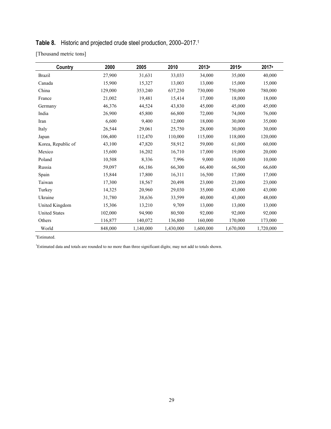## **Table 8.** Historic and projected crude steel production, 2000–2017. 1

[Thousand metric tons]

| Country              | 2000    | 2005      | 2010      | 2013 <sup>e</sup> | 2015 <sup>e</sup> | 2017 <sup>e</sup> |
|----------------------|---------|-----------|-----------|-------------------|-------------------|-------------------|
| <b>Brazil</b>        | 27,900  | 31,631    | 33,033    | 34,000            | 35,000            | 40,000            |
| Canada               | 15,900  | 15,327    | 13,003    | 13,000            | 15,000            | 15,000            |
| China                | 129,000 | 353,240   | 637,230   | 730,000           | 750,000           | 780,000           |
| France               | 21,002  | 19,481    | 15,414    | 17,000            | 18,000            | 18,000            |
| Germany              | 46,376  | 44,524    | 43,830    | 45,000            | 45,000            | 45,000            |
| India                | 26,900  | 45,800    | 66,800    | 72,000            | 74,000            | 76,000            |
| Iran                 | 6,600   | 9,400     | 12,000    | 18,000            | 30,000            | 35,000            |
| Italy                | 26,544  | 29,061    | 25,750    | 28,000            | 30,000            | 30,000            |
| Japan                | 106,400 | 112,470   | 110,000   | 115,000           | 118,000           | 120,000           |
| Korea, Republic of   | 43,100  | 47,820    | 58,912    | 59,000            | 61,000            | 60,000            |
| Mexico               | 15,600  | 16,202    | 16,710    | 17,000            | 19,000            | 20,000            |
| Poland               | 10,508  | 8,336     | 7,996     | 9,000             | 10,000            | 10,000            |
| Russia               | 59,097  | 66,186    | 66,300    | 66,400            | 66,500            | 66,600            |
| Spain                | 15,844  | 17,800    | 16,311    | 16,500            | 17,000            | 17,000            |
| Taiwan               | 17,300  | 18,567    | 20,498    | 23,000            | 23,000            | 23,000            |
| Turkey               | 14,325  | 20,960    | 29,030    | 35,000            | 43,000            | 43,000            |
| Ukraine              | 31,780  | 38,636    | 33,599    | 40,000            | 43,000            | 48,000            |
| United Kingdom       | 15,306  | 13,210    | 9,709     | 13,000            | 13,000            | 13,000            |
| <b>United States</b> | 102,000 | 94,900    | 80,500    | 92,000            | 92,000            | 92,000            |
| Others               | 116,877 | 140,072   | 136,880   | 160,000           | 170,000           | 173,000           |
| World                | 848,000 | 1,140,000 | 1,430,000 | 1,600,000         | 1,670,000         | 1,720,000         |

e Estimated.

1 Estimated data and totals are rounded to no more than three significant digits; may not add to totals shown.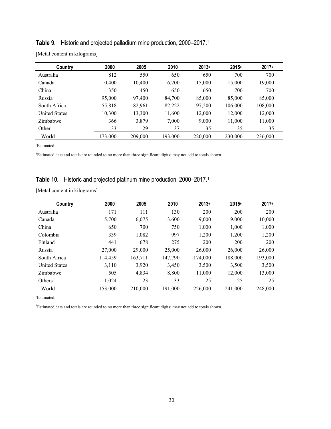#### **Table 9.** Historic and projected palladium mine production, 2000–2017. 1

| Country              | 2000    | 2005    | 2010    | 2013 <sup>e</sup> | 2015 <sup>e</sup> | 2017 <sup>e</sup> |
|----------------------|---------|---------|---------|-------------------|-------------------|-------------------|
| Australia            | 812     | 550     | 650     | 650               | 700               | 700               |
| Canada               | 10,400  | 10,400  | 6,200   | 15,000            | 15,000            | 19,000            |
| China                | 350     | 450     | 650     | 650               | 700               | 700               |
| Russia               | 95,000  | 97.400  | 84,700  | 85,000            | 85,000            | 85,000            |
| South Africa         | 55,818  | 82,961  | 82,222  | 97,200            | 106,000           | 108,000           |
| <b>United States</b> | 10,300  | 13,300  | 11,600  | 12,000            | 12,000            | 12,000            |
| Zimbabwe             | 366     | 3,879   | 7,000   | 9,000             | 11,000            | 11,000            |
| Other                | 33      | 29      | 37      | 35                | 35                | 35                |
| World                | 173,000 | 209,000 | 193,000 | 220,000           | 230,000           | 236,000           |

[Metal content in kilograms]

e Estimated.

<sup>1</sup>Estimated data and totals are rounded to no more than three significant digits; may not add to totals shown.

#### **Table 10.** Historic and projected platinum mine production, 2000–2017. 1

[Metal content in kilograms]

| Country              | 2000    | 2005    | 2010    | 2013 <sup>e</sup> | 2015 <sup>e</sup> | 2017 <sup>e</sup> |
|----------------------|---------|---------|---------|-------------------|-------------------|-------------------|
| Australia            | 171     | 111     | 130     | 200               | 200               | 200               |
| Canada               | 5,700   | 6,075   | 3,600   | 9,000             | 9,000             | 10,000            |
| China                | 650     | 700     | 750     | 1.000             | 1.000             | 1,000             |
| Colombia             | 339     | 1,082   | 997     | 1,200             | 1,200             | 1,200             |
| Finland              | 441     | 678     | 275     | 200               | 200               | 200               |
| Russia               | 27,000  | 29,000  | 25,000  | 26,000            | 26,000            | 26,000            |
| South Africa         | 114,459 | 163,711 | 147,790 | 174,000           | 188,000           | 193,000           |
| <b>United States</b> | 3,110   | 3,920   | 3,450   | 3,500             | 3,500             | 3,500             |
| Zimbabwe             | 505     | 4,834   | 8,800   | 11,000            | 12,000            | 13,000            |
| Others               | 1.024   | 23      | 33      | 25                | 25                | 25                |
| World                | 153.000 | 210,000 | 191.000 | 226,000           | 241,000           | 248,000           |

e Estimated.

1 Estimated data and totals are rounded to no more than three significant digits; may not add to totals shown.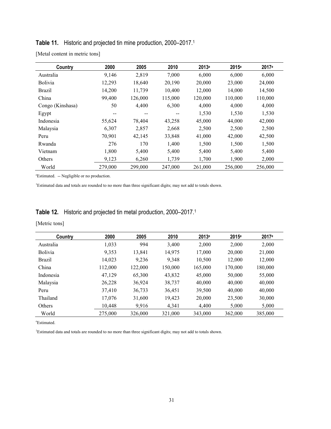| Country          | 2000    | 2005    | 2010    | 2013 <sup>e</sup> | 2015 <sup>e</sup> | 2017 <sup>e</sup> |
|------------------|---------|---------|---------|-------------------|-------------------|-------------------|
| Australia        | 9,146   | 2,819   | 7,000   | 6,000             | 6,000             | 6,000             |
| <b>Bolivia</b>   | 12,293  | 18,640  | 20,190  | 20,000            | 23,000            | 24,000            |
| Brazil           | 14,200  | 11,739  | 10,400  | 12.000            | 14,000            | 14,500            |
| China            | 99,400  | 126,000 | 115,000 | 120,000           | 110,000           | 110,000           |
| Congo (Kinshasa) | 50      | 4,400   | 6,300   | 4,000             | 4,000             | 4,000             |
| Egypt            | --      | $- -$   | --      | 1,530             | 1,530             | 1,530             |
| Indonesia        | 55,624  | 78,404  | 43,258  | 45,000            | 44,000            | 42,000            |
| Malaysia         | 6,307   | 2,857   | 2,668   | 2,500             | 2,500             | 2,500             |
| Peru             | 70,901  | 42,145  | 33,848  | 41,000            | 42,000            | 42,500            |
| Rwanda           | 276     | 170     | 1,400   | 1,500             | 1,500             | 1,500             |
| Vietnam          | 1,800   | 5,400   | 5,400   | 5,400             | 5,400             | 5,400             |
| Others           | 9,123   | 6,260   | 1,739   | 1,700             | 1,900             | 2,000             |
| World            | 279,000 | 299,000 | 247,000 | 261,000           | 256,000           | 256,000           |

#### **Table 11.** Historic and projected tin mine production, 2000–2017. 1

[Metal content in metric tons]

e Estimated. -- Negligible or no production.

1 Estimated data and totals are rounded to no more than three significant digits; may not add to totals shown.

## **Table 12.** Historic and projected tin metal production, 2000–2017. 1

[Metric tons]

| Country        | 2000    | 2005    | 2010    | 2013 <sup>e</sup> | 2015 <sup>e</sup> | 2017 <sup>e</sup> |
|----------------|---------|---------|---------|-------------------|-------------------|-------------------|
| Australia      | 1,033   | 994     | 3.400   | 2.000             | 2,000             | 2,000             |
| <b>Bolivia</b> | 9,353   | 13,841  | 14,975  | 17,000            | 20,000            | 21,000            |
| <b>Brazil</b>  | 14,023  | 9,236   | 9.348   | 10,500            | 12,000            | 12,000            |
| China          | 112,000 | 122,000 | 150.000 | 165,000           | 170,000           | 180,000           |
| Indonesia      | 47,129  | 65,300  | 43,832  | 45,000            | 50,000            | 55,000            |
| Malaysia       | 26,228  | 36,924  | 38,737  | 40,000            | 40,000            | 40,000            |
| Peru           | 37,410  | 36,733  | 36,451  | 39,500            | 40,000            | 40,000            |
| Thailand       | 17,076  | 31,600  | 19,423  | 20,000            | 23,500            | 30,000            |
| Others         | 10.448  | 9,916   | 4,341   | 4.400             | 5,000             | 5,000             |
| World          | 275,000 | 326,000 | 321,000 | 343,000           | 362,000           | 385,000           |

e Estimated.

<sup>1</sup>Estimated data and totals are rounded to no more than three significant digits; may not add to totals shown.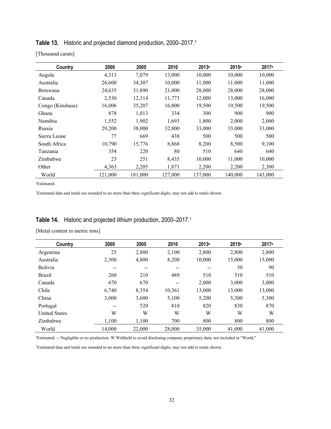| Country          | 2000    | 2005    | 2010    | 2013 <sup>e</sup> | 2015 <sup>e</sup> | 2017 <sup>e</sup> |
|------------------|---------|---------|---------|-------------------|-------------------|-------------------|
| Angola           | 4,313   | 7,079   | 13,000  | 10,000            | 10,000            | 10,000            |
| Australia        | 26,600  | 34,307  | 10,000  | 11,000            | 11,000            | 11,000            |
| <b>Botswana</b>  | 24,635  | 31,890  | 21,000  | 28,000            | 28,000            | 28,000            |
| Canada           | 2,530   | 12,314  | 11,773  | 12,000            | 13,000            | 16,000            |
| Congo (Kinshasa) | 16,006  | 35,207  | 16,800  | 19,500            | 19,500            | 19,500            |
| Ghana            | 878     | 1,013   | 334     | 300               | 900               | 900               |
| Namibia          | 1,552   | 1,902   | 1,693   | 1,800             | 2,000             | 2,000             |
| Russia           | 29,200  | 38,000  | 32,800  | 33,000            | 33,000            | 33,000            |
| Sierra Leone     | 77      | 669     | 438     | 500               | 500               | 500               |
| South Africa     | 10,790  | 15,776  | 8,868   | 8,200             | 8,500             | 9,100             |
| Tanzania         | 354     | 220     | 80      | 510               | 640               | 640               |
| Zimbabwe         | 23      | 251     | 8,435   | 10,000            | 11,000            | 10,000            |
| Other            | 4,363   | 2,205   | 1,871   | 2,200             | 2,200             | 2,300             |
| World            | 121,000 | 181,000 | 127,000 | 137,000           | 140,000           | 143,000           |

#### **Table 13.** Historic and projected diamond production, 2000–2017. 1

[Thousand carats]

e Estimated.

<sup>1</sup>Estimated data and totals are rounded to no more than three significant digits; may not add to totals shown.

## **Table 14.** Historic and projected lithium production, 2000–2017. 1

[Metal content in metric tons]

| Country              | 2000   | 2005   | 2010                     | 2013 <sup>e</sup> | 2015 <sup>e</sup> | 2017 <sup>e</sup> |  |
|----------------------|--------|--------|--------------------------|-------------------|-------------------|-------------------|--|
| Argentina            | 25     | 2,800  | 2,100                    | 2,800             | 2,800             | 2,800             |  |
| Australia            | 2,300  | 4,800  | 8,200                    | 10,000            | 15,000            | 15,000            |  |
| <b>Bolivia</b>       | $-$    | $-$    | $\overline{\phantom{m}}$ | $-$               | 50                | 90                |  |
| <b>Brazil</b>        | 260    | 210    | 489                      | 510               | 510               | 510               |  |
| Canada               | 670    | 670    | $\sim$ $\sim$            | 2,000             | 3,000             | 3,000             |  |
| Chile                | 6,740  | 8,354  | 10,361                   | 13,000            | 13,000            | 13,000            |  |
| China                | 3,000  | 3,600  | 5,100                    | 5,200             | 5,300             | 5,300             |  |
| Portugal             | $- -$  | 520    | 810                      | 820               | 830               | 870               |  |
| <b>United States</b> | W      | W      | W                        | W                 | W                 | W                 |  |
| Zimbabwe             | 1,100  | 1,100  | 700                      | 800               | 800               | 800               |  |
| World                | 14,000 | 22,000 | 28,000                   | 35,000            | 41.000            | 41,000            |  |

e Estimated. -- Negligible or no production. W Withheld to avoid disclosing company proprietary data; not included in "World."

1 Estimated data and totals are rounded to no more than three significant digits; may not add to totals shown.